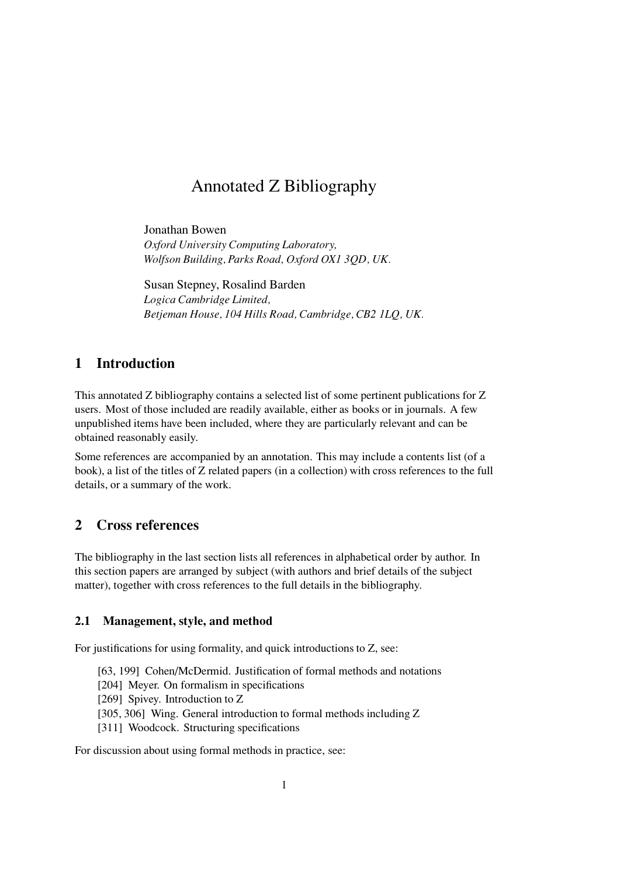# Annotated Z Bibliography

Jonathan Bowen Oxford University Computing Laboratory, Wolfson Building, Parks Road, Oxford OX1 3QD, UK.

Susan Stepney, Rosalind Barden Logica Cambridge Limited, Betjeman House, 104 Hills Road, Cambridge, CB2 1LQ, UK.

## 1 Introduction

This annotated Z bibliography contains a selected list of some pertinent publications for Z users. Most of those included are readily available, either as books or in journals. A few unpublished items have been included, where they are particularly relevant and can be obtained reasonably easily.

Some references are accompanied by an annotation. This may include a contents list (of a book), a list of the titles of Z related papers (in a collection) with cross references to the full details, or a summary of the work.

## 2 Cross references

The bibliography in the last section lists all references in alphabetical order by author. In this section papers are arranged by subject (with authors and brief details of the subject matter), together with cross references to the full details in the bibliography.

### 2.1 Management, style, and method

For justifications for using formality, and quick introductions to Z, see:

[63, 199] Cohen/McDermid. Justification of formal methods and notations

[204] Meyer. On formalism in specifications

[269] Spivey. Introduction to Z

[305, 306] Wing. General introduction to formal methods including Z

[311] Woodcock. Structuring specifications

For discussion about using formal methods in practice, see: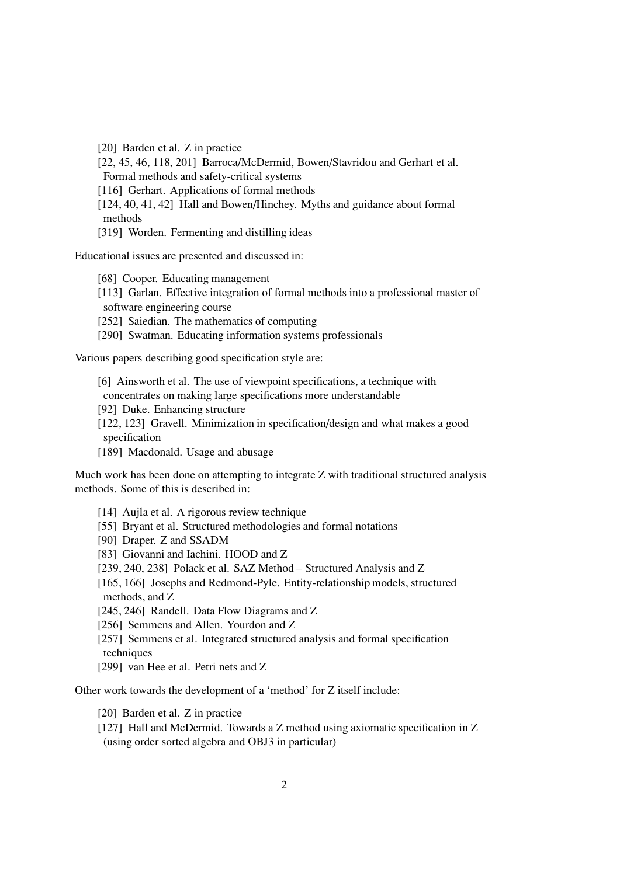[20] Barden et al. Z in practice

[22, 45, 46, 118, 201] Barroca/McDermid, Bowen/Stavridou and Gerhart et al. Formal methods and safety-critical systems

[116] Gerhart. Applications of formal methods

[124, 40, 41, 42] Hall and Bowen/Hinchey. Myths and guidance about formal methods

[319] Worden. Fermenting and distilling ideas

Educational issues are presented and discussed in:

[68] Cooper. Educating management

- [113] Garlan. Effective integration of formal methods into a professional master of
- software engineering course

[252] Saiedian. The mathematics of computing

[290] Swatman. Educating information systems professionals

Various papers describing good specification style are:

- [6] Ainsworth et al. The use of viewpoint specifications, a technique with
- concentrates on making large specifications more understandable
- [92] Duke. Enhancing structure
- [122, 123] Gravell. Minimization in specification/design and what makes a good specification
- [189] Macdonald. Usage and abusage

Much work has been done on attempting to integrate Z with traditional structured analysis methods. Some of this is described in:

- [14] Aujla et al. A rigorous review technique
- [55] Bryant et al. Structured methodologies and formal notations
- [90] Draper. Z and SSADM
- [83] Giovanni and Iachini. HOOD and Z
- [239, 240, 238] Polack et al. SAZ Method Structured Analysis and Z
- [165, 166] Josephs and Redmond-Pyle. Entity-relationship models, structured methods, and Z
- [245, 246] Randell. Data Flow Diagrams and Z
- [256] Semmens and Allen. Yourdon and Z
- [257] Semmens et al. Integrated structured analysis and formal specification techniques
- [299] van Hee et al. Petri nets and Z

Other work towards the development of a 'method' for Z itself include:

[20] Barden et al. Z in practice

[127] Hall and McDermid. Towards a Z method using axiomatic specification in Z (using order sorted algebra and OBJ3 in particular)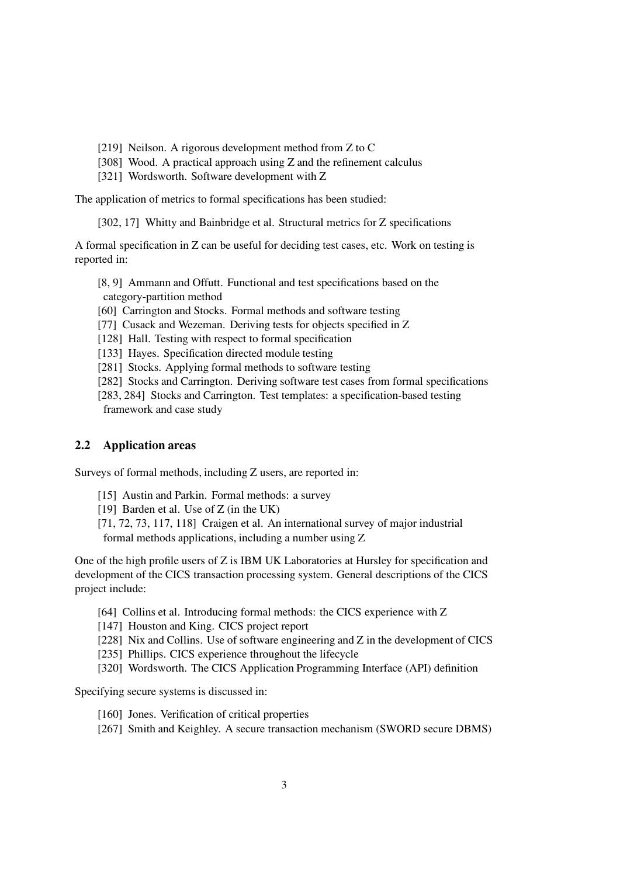- [219] Neilson. A rigorous development method from Z to C
- [308] Wood. A practical approach using Z and the refinement calculus
- [321] Wordsworth. Software development with Z

The application of metrics to formal specifications has been studied:

[302, 17] Whitty and Bainbridge et al. Structural metrics for Z specifications

A formal specification in Z can be useful for deciding test cases, etc. Work on testing is reported in:

[8, 9] Ammann and Offutt. Functional and test specifications based on the category-partition method

- [60] Carrington and Stocks. Formal methods and software testing
- [77] Cusack and Wezeman. Deriving tests for objects specified in Z
- [128] Hall. Testing with respect to formal specification
- [133] Hayes. Specification directed module testing
- [281] Stocks. Applying formal methods to software testing

[282] Stocks and Carrington. Deriving software test cases from formal specifications

[283, 284] Stocks and Carrington. Test templates: a specification-based testing framework and case study

#### 2.2 Application areas

Surveys of formal methods, including Z users, are reported in:

- [15] Austin and Parkin. Formal methods: a survey
- [19] Barden et al. Use of Z (in the UK)
- [71, 72, 73, 117, 118] Craigen et al. An international survey of major industrial formal methods applications, including a number using Z

One of the high profile users of Z is IBM UK Laboratories at Hursley for specification and development of the CICS transaction processing system. General descriptions of the CICS project include:

- [64] Collins et al. Introducing formal methods: the CICS experience with Z
- [147] Houston and King. CICS project report
- [228] Nix and Collins. Use of software engineering and Z in the development of CICS
- [235] Phillips. CICS experience throughout the lifecycle
- [320] Wordsworth. The CICS Application Programming Interface (API) definition

Specifying secure systems is discussed in:

- [160] Jones. Verification of critical properties
- [267] Smith and Keighley. A secure transaction mechanism (SWORD secure DBMS)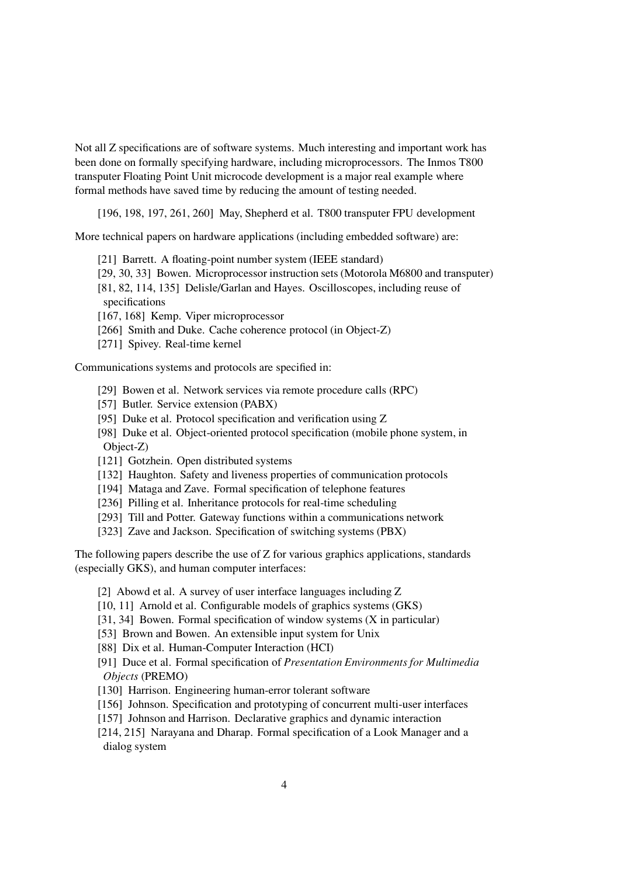Not all Z specifications are of software systems. Much interesting and important work has been done on formally specifying hardware, including microprocessors. The Inmos T800 transputer Floating Point Unit microcode development is a major real example where formal methods have saved time by reducing the amount of testing needed.

[196, 198, 197, 261, 260] May, Shepherd et al. T800 transputer FPU development

More technical papers on hardware applications (including embedded software) are:

- [21] Barrett. A floating-point number system (IEEE standard)
- [29, 30, 33] Bowen. Microprocessor instruction sets(Motorola M6800 and transputer) [81, 82, 114, 135] Delisle/Garlan and Hayes. Oscilloscopes, including reuse of specifications
- [167, 168] Kemp. Viper microprocessor
- [266] Smith and Duke. Cache coherence protocol (in Object-Z)
- [271] Spivey. Real-time kernel

Communications systems and protocols are specified in:

- [29] Bowen et al. Network services via remote procedure calls (RPC)
- [57] Butler. Service extension (PABX)
- [95] Duke et al. Protocol specification and verification using Z
- [98] Duke et al. Object-oriented protocol specification (mobile phone system, in Object-Z)
- [121] Gotzhein. Open distributed systems
- [132] Haughton. Safety and liveness properties of communication protocols
- [194] Mataga and Zave. Formal specification of telephone features
- [236] Pilling et al. Inheritance protocols for real-time scheduling
- [293] Till and Potter. Gateway functions within a communications network
- [323] Zave and Jackson. Specification of switching systems (PBX)

The following papers describe the use of Z for various graphics applications, standards (especially GKS), and human computer interfaces:

- [2] Abowd et al. A survey of user interface languages including Z
- [10, 11] Arnold et al. Configurable models of graphics systems (GKS)
- [31, 34] Bowen. Formal specification of window systems (X in particular)
- [53] Brown and Bowen. An extensible input system for Unix
- [88] Dix et al. Human-Computer Interaction (HCI)
- [91] Duce et al. Formal specification of Presentation Environments for Multimedia Objects (PREMO)
- [130] Harrison. Engineering human-error tolerant software
- [156] Johnson. Specification and prototyping of concurrent multi-user interfaces
- [157] Johnson and Harrison. Declarative graphics and dynamic interaction
- [214, 215] Narayana and Dharap. Formal specification of a Look Manager and a dialog system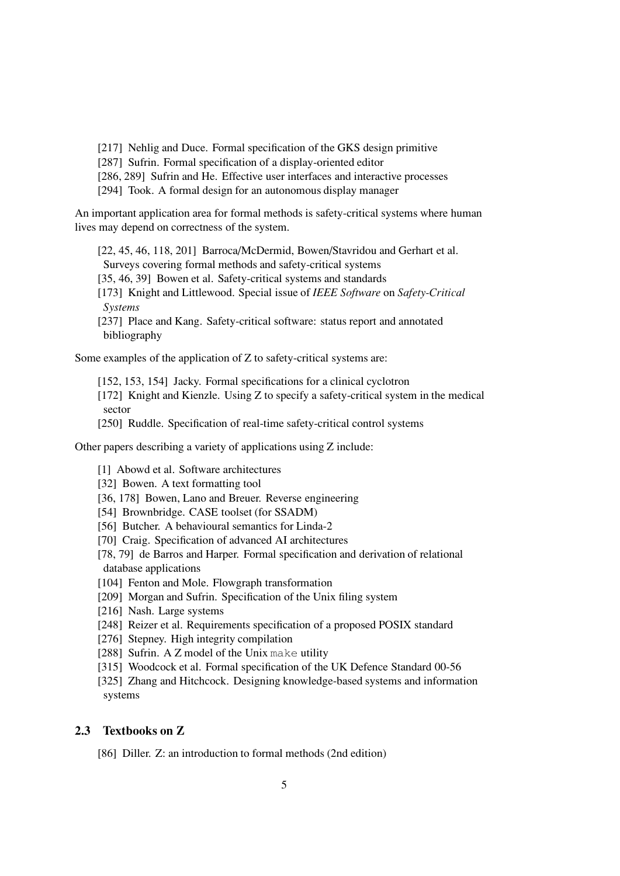[217] Nehlig and Duce. Formal specification of the GKS design primitive

[287] Sufrin. Formal specification of a display-oriented editor

[286, 289] Sufrin and He. Effective user interfaces and interactive processes

[294] Took. A formal design for an autonomous display manager

An important application area for formal methods is safety-critical systems where human lives may depend on correctness of the system.

[22, 45, 46, 118, 201] Barroca/McDermid, Bowen/Stavridou and Gerhart et al. Surveys covering formal methods and safety-critical systems [35, 46, 39] Bowen et al. Safety-critical systems and standards [173] Knight and Littlewood. Special issue of IEEE Software on Safety-Critical Systems [237] Place and Kang. Safety-critical software: status report and annotated bibliography

Some examples of the application of Z to safety-critical systems are:

[152, 153, 154] Jacky. Formal specifications for a clinical cyclotron

[172] Knight and Kienzle. Using Z to specify a safety-critical system in the medical sector

[250] Ruddle. Specification of real-time safety-critical control systems

Other papers describing a variety of applications using Z include:

- [1] Abowd et al. Software architectures
- [32] Bowen. A text formatting tool
- [36, 178] Bowen, Lano and Breuer. Reverse engineering
- [54] Brownbridge. CASE toolset (for SSADM)
- [56] Butcher. A behavioural semantics for Linda-2
- [70] Craig. Specification of advanced AI architectures
- [78, 79] de Barros and Harper. Formal specification and derivation of relational database applications
- [104] Fenton and Mole. Flowgraph transformation
- [209] Morgan and Sufrin. Specification of the Unix filing system
- [216] Nash. Large systems
- [248] Reizer et al. Requirements specification of a proposed POSIX standard
- [276] Stepney. High integrity compilation
- [288] Sufrin. A Z model of the Unix make utility
- [315] Woodcock et al. Formal specification of the UK Defence Standard 00-56

[325] Zhang and Hitchcock. Designing knowledge-based systems and information systems

#### 2.3 Textbooks on Z

[86] Diller. Z: an introduction to formal methods (2nd edition)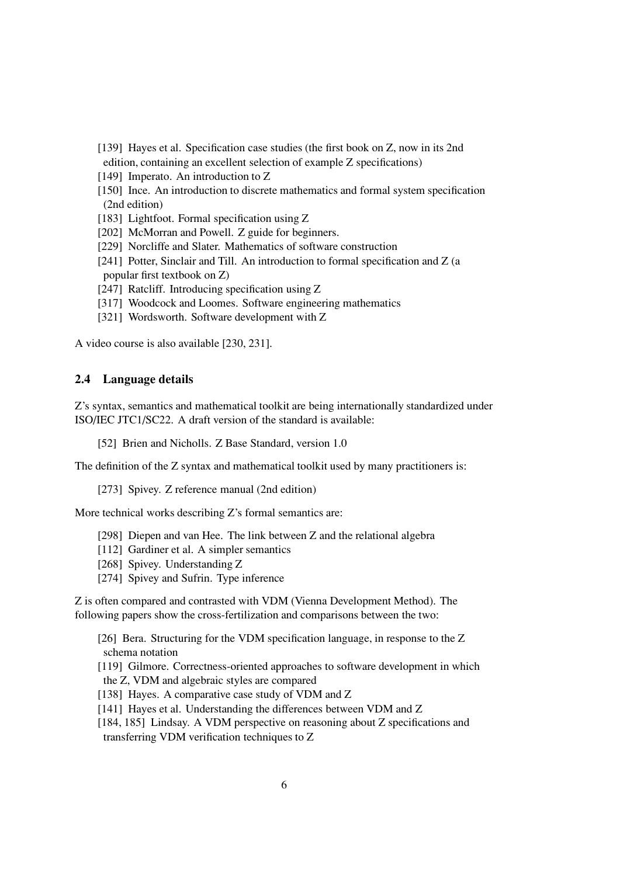- [139] Hayes et al. Specification case studies (the first book on Z, now in its 2nd edition, containing an excellent selection of example Z specifications)
- [149] Imperato. An introduction to Z
- [150] Ince. An introduction to discrete mathematics and formal system specification (2nd edition)
- [183] Lightfoot. Formal specification using Z
- [202] McMorran and Powell. Z guide for beginners.
- [229] Norcliffe and Slater. Mathematics of software construction
- [241] Potter, Sinclair and Till. An introduction to formal specification and Z (a popular first textbook on Z)
- [247] Ratcliff. Introducing specification using Z
- [317] Woodcock and Loomes. Software engineering mathematics
- [321] Wordsworth. Software development with Z

A video course is also available [230, 231].

#### 2.4 Language details

Z's syntax, semantics and mathematical toolkit are being internationally standardized under ISO/IEC JTC1/SC22. A draft version of the standard is available:

[52] Brien and Nicholls. Z Base Standard, version 1.0

The definition of the Z syntax and mathematical toolkit used by many practitioners is:

[273] Spivey. Z reference manual (2nd edition)

More technical works describing Z's formal semantics are:

- [298] Diepen and van Hee. The link between Z and the relational algebra
- [112] Gardiner et al. A simpler semantics
- [268] Spivey. Understanding Z
- [274] Spivey and Sufrin. Type inference

Z is often compared and contrasted with VDM (Vienna Development Method). The following papers show the cross-fertilization and comparisons between the two:

[26] Bera. Structuring for the VDM specification language, in response to the Z schema notation

- [119] Gilmore. Correctness-oriented approaches to software development in which the Z, VDM and algebraic styles are compared
- [138] Hayes. A comparative case study of VDM and Z
- [141] Hayes et al. Understanding the differences between VDM and Z
- [184, 185] Lindsay. A VDM perspective on reasoning about Z specifications and transferring VDM verification techniques to Z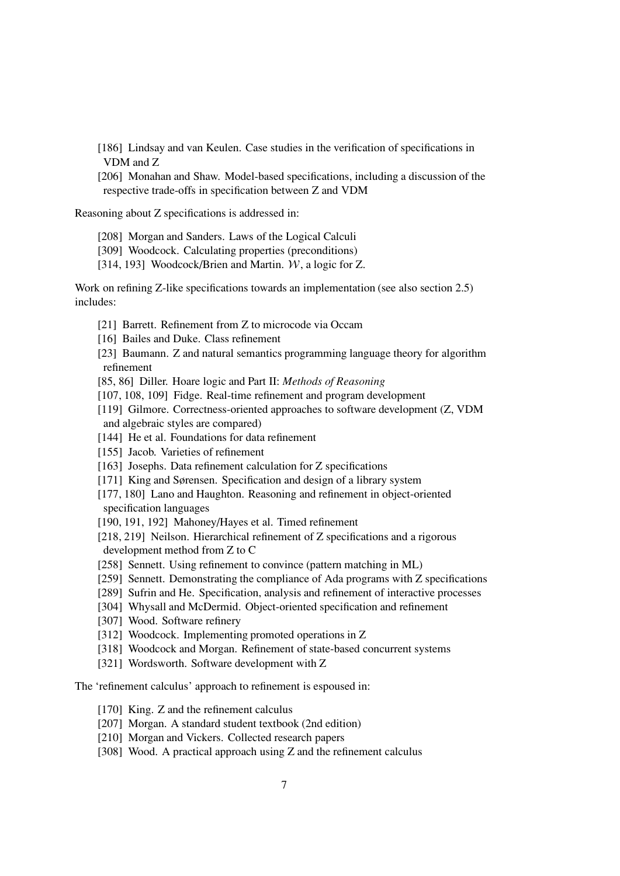[186] Lindsay and van Keulen. Case studies in the verification of specifications in VDM and Z

[206] Monahan and Shaw. Model-based specifications, including a discussion of the respective trade-offs in specification between Z and VDM

Reasoning about Z specifications is addressed in:

- [208] Morgan and Sanders. Laws of the Logical Calculi
- [309] Woodcock. Calculating properties (preconditions)
- [314, 193] Woodcock/Brien and Martin. W, a logic for Z.

Work on refining Z-like specifications towards an implementation (see also section 2.5) includes:

- [21] Barrett. Refinement from Z to microcode via Occam
- [16] Bailes and Duke. Class refinement
- [23] Baumann. Z and natural semantics programming language theory for algorithm refinement
- [85, 86] Diller. Hoare logic and Part II: Methods of Reasoning
- [107, 108, 109] Fidge. Real-time refinement and program development
- [119] Gilmore. Correctness-oriented approaches to software development (Z, VDM and algebraic styles are compared)
- [144] He et al. Foundations for data refinement
- [155] Jacob. Varieties of refinement
- [163] Josephs. Data refinement calculation for Z specifications
- [171] King and Sørensen. Specification and design of a library system
- [177, 180] Lano and Haughton. Reasoning and refinement in object-oriented specification languages
- [190, 191, 192] Mahoney/Hayes et al. Timed refinement
- [218, 219] Neilson. Hierarchical refinement of Z specifications and a rigorous development method from Z to C
- [258] Sennett. Using refinement to convince (pattern matching in ML)
- [259] Sennett. Demonstrating the compliance of Ada programs with Z specifications
- [289] Sufrin and He. Specification, analysis and refinement of interactive processes
- [304] Whysall and McDermid. Object-oriented specification and refinement
- [307] Wood. Software refinery
- [312] Woodcock. Implementing promoted operations in Z
- [318] Woodcock and Morgan. Refinement of state-based concurrent systems
- [321] Wordsworth. Software development with Z

The 'refinement calculus' approach to refinement is espoused in:

- [170] King. Z and the refinement calculus
- [207] Morgan. A standard student textbook (2nd edition)
- [210] Morgan and Vickers. Collected research papers
- [308] Wood. A practical approach using Z and the refinement calculus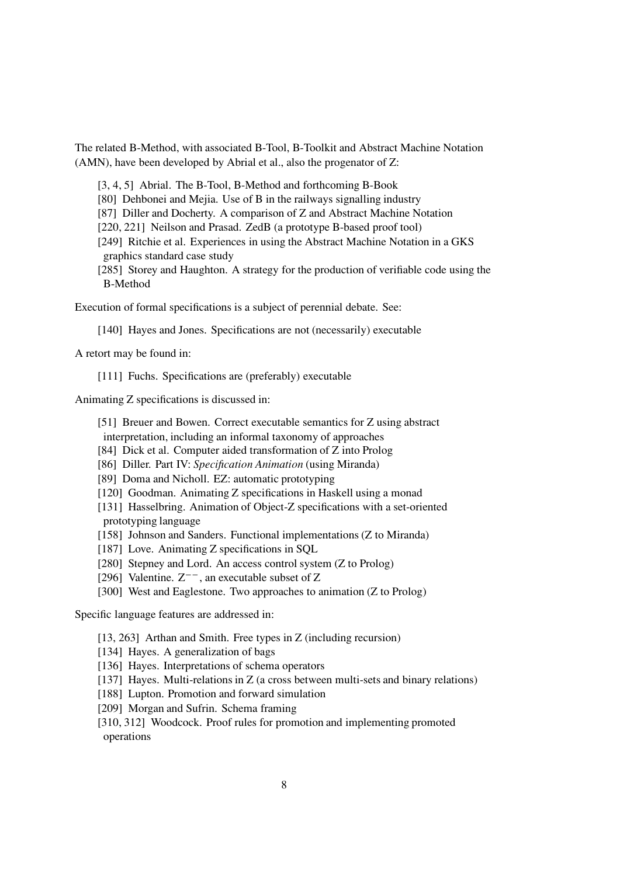The related B-Method, with associated B-Tool, B-Toolkit and Abstract Machine Notation (AMN), have been developed by Abrial et al., also the progenator of Z:

[3, 4, 5] Abrial. The B-Tool, B-Method and forthcoming B-Book

[80] Dehbonei and Mejia. Use of B in the railways signalling industry

[87] Diller and Docherty. A comparison of Z and Abstract Machine Notation

[220, 221] Neilson and Prasad. ZedB (a prototype B-based proof tool)

[249] Ritchie et al. Experiences in using the Abstract Machine Notation in a GKS graphics standard case study

[285] Storey and Haughton. A strategy for the production of verifiable code using the B-Method

Execution of formal specifications is a subject of perennial debate. See:

[140] Hayes and Jones. Specifications are not (necessarily) executable

A retort may be found in:

[111] Fuchs. Specifications are (preferably) executable

Animating Z specifications is discussed in:

[51] Breuer and Bowen. Correct executable semantics for Z using abstract

- interpretation, including an informal taxonomy of approaches
- [84] Dick et al. Computer aided transformation of Z into Prolog
- [86] Diller. Part IV: Specification Animation (using Miranda)
- [89] Doma and Nicholl. EZ: automatic prototyping
- [120] Goodman. Animating Z specifications in Haskell using a monad
- [131] Hasselbring. Animation of Object-Z specifications with a set-oriented prototyping language
- [158] Johnson and Sanders. Functional implementations (Z to Miranda)
- [187] Love. Animating Z specifications in SQL
- [280] Stepney and Lord. An access control system (Z to Prolog)
- [296] Valentine.  $Z^{--}$ , an executable subset of Z
- [300] West and Eaglestone. Two approaches to animation (Z to Prolog)

Specific language features are addressed in:

- [13, 263] Arthan and Smith. Free types in Z (including recursion)
- [134] Hayes. A generalization of bags
- [136] Hayes. Interpretations of schema operators
- [137] Hayes. Multi-relations in  $Z$  (a cross between multi-sets and binary relations)
- [188] Lupton. Promotion and forward simulation
- [209] Morgan and Sufrin. Schema framing
- [310, 312] Woodcock. Proof rules for promotion and implementing promoted operations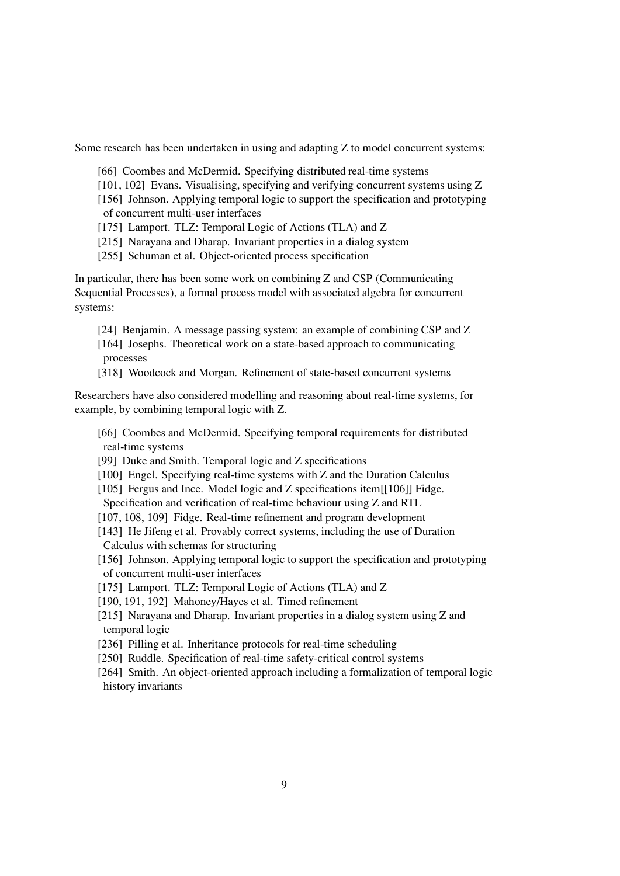Some research has been undertaken in using and adapting Z to model concurrent systems:

- [66] Coombes and McDermid. Specifying distributed real-time systems
- [101, 102] Evans. Visualising, specifying and verifying concurrent systems using Z
- [156] Johnson. Applying temporal logic to support the specification and prototyping of concurrent multi-user interfaces
- [175] Lamport. TLZ: Temporal Logic of Actions (TLA) and Z
- [215] Narayana and Dharap. Invariant properties in a dialog system
- [255] Schuman et al. Object-oriented process specification

In particular, there has been some work on combining Z and CSP (Communicating Sequential Processes), a formal process model with associated algebra for concurrent systems:

- [24] Benjamin. A message passing system: an example of combining CSP and Z
- [164] Josephs. Theoretical work on a state-based approach to communicating processes
- [318] Woodcock and Morgan. Refinement of state-based concurrent systems

Researchers have also considered modelling and reasoning about real-time systems, for example, by combining temporal logic with Z.

- [66] Coombes and McDermid. Specifying temporal requirements for distributed real-time systems
- [99] Duke and Smith. Temporal logic and Z specifications
- [100] Engel. Specifying real-time systems with Z and the Duration Calculus
- [105] Fergus and Ince. Model logic and Z specifications item[[106]] Fidge. Specification and verification of real-time behaviour using Z and RTL
- [107, 108, 109] Fidge. Real-time refinement and program development
- [143] He Jifeng et al. Provably correct systems, including the use of Duration Calculus with schemas for structuring
- [156] Johnson. Applying temporal logic to support the specification and prototyping of concurrent multi-user interfaces
- [175] Lamport. TLZ: Temporal Logic of Actions (TLA) and Z
- [190, 191, 192] Mahoney/Hayes et al. Timed refinement
- [215] Narayana and Dharap. Invariant properties in a dialog system using Z and temporal logic
- [236] Pilling et al. Inheritance protocols for real-time scheduling
- [250] Ruddle. Specification of real-time safety-critical control systems
- [264] Smith. An object-oriented approach including a formalization of temporal logic history invariants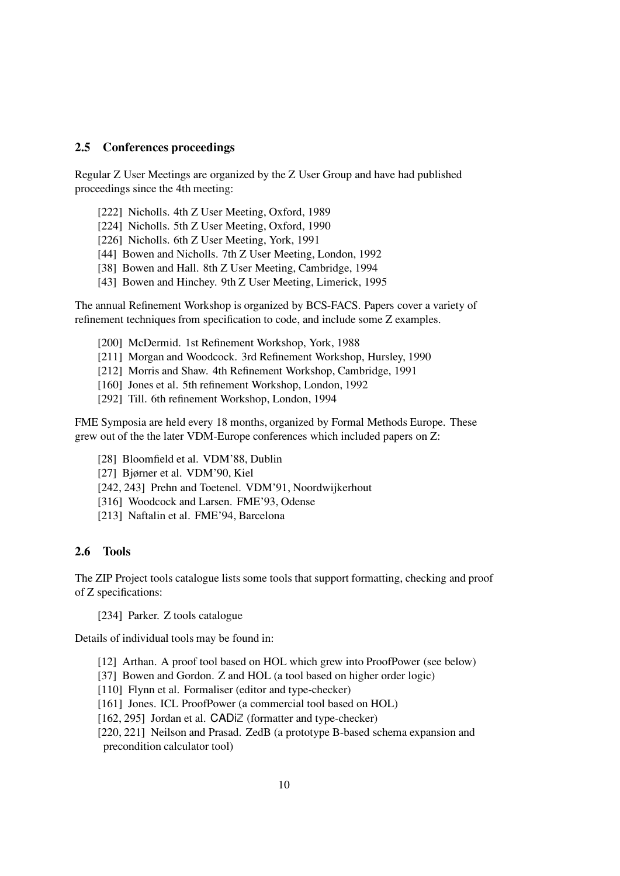#### 2.5 Conferences proceedings

Regular Z User Meetings are organized by the Z User Group and have had published proceedings since the 4th meeting:

- [222] Nicholls. 4th Z User Meeting, Oxford, 1989
- [224] Nicholls. 5th Z User Meeting, Oxford, 1990
- [226] Nicholls. 6th Z User Meeting, York, 1991
- [44] Bowen and Nicholls. 7th Z User Meeting, London, 1992
- [38] Bowen and Hall. 8th Z User Meeting, Cambridge, 1994
- [43] Bowen and Hinchey. 9th Z User Meeting, Limerick, 1995

The annual Refinement Workshop is organized by BCS-FACS. Papers cover a variety of refinement techniques from specification to code, and include some Z examples.

- [200] McDermid. 1st Refinement Workshop, York, 1988
- [211] Morgan and Woodcock. 3rd Refinement Workshop, Hursley, 1990
- [212] Morris and Shaw. 4th Refinement Workshop, Cambridge, 1991
- [160] Jones et al. 5th refinement Workshop, London, 1992
- [292] Till. 6th refinement Workshop, London, 1994

FME Symposia are held every 18 months, organized by Formal Methods Europe. These grew out of the the later VDM-Europe conferences which included papers on Z:

- [28] Bloomfield et al. VDM'88, Dublin
- [27] Bjørner et al. VDM'90, Kiel
- [242, 243] Prehn and Toetenel. VDM'91, Noordwijkerhout
- [316] Woodcock and Larsen. FME'93, Odense
- [213] Naftalin et al. FME'94, Barcelona

#### 2.6 Tools

The ZIP Project tools catalogue listssome tools that support formatting, checking and proof of Z specifications:

[234] Parker. Z tools catalogue

Details of individual tools may be found in:

- [12] Arthan. A proof tool based on HOL which grew into ProofPower (see below)
- [37] Bowen and Gordon. Z and HOL (a tool based on higher order logic)
- [110] Flynn et al. Formaliser (editor and type-checker)
- [161] Jones. ICL ProofPower (a commercial tool based on HOL)
- [162, 295] Jordan et al.  $CADiZ$  (formatter and type-checker)
- [220, 221] Neilson and Prasad. ZedB (a prototype B-based schema expansion and precondition calculator tool)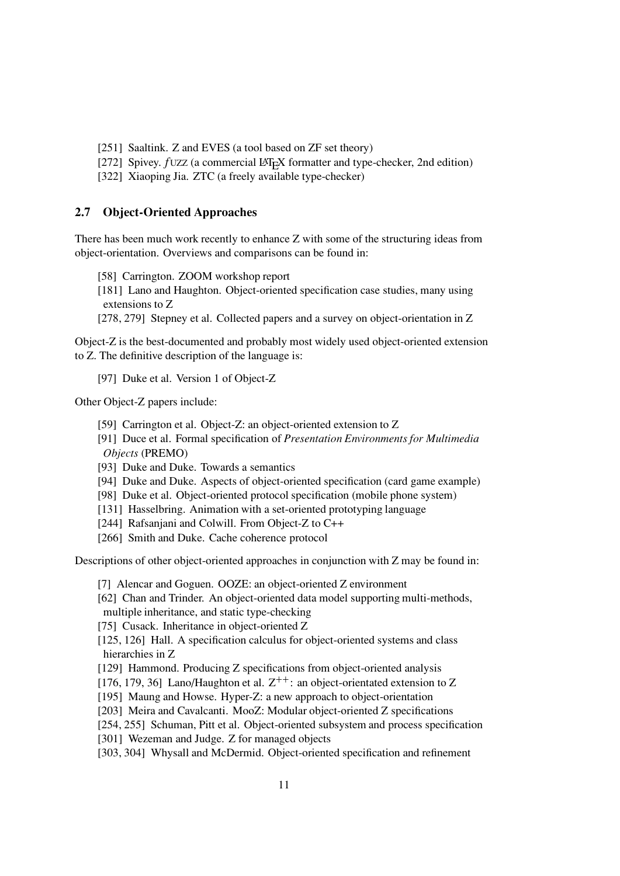- [251] Saaltink. Z and EVES (a tool based on ZF set theory)
- [272] Spivey.  $fUZZ$  (a commercial  $LAT<sub>F</sub>XY$  formatter and type-checker, 2nd edition)
- [322] Xiaoping Jia. ZTC (a freely available type-checker)

## 2.7 Object-Oriented Approaches

There has been much work recently to enhance Z with some of the structuring ideas from object-orientation. Overviews and comparisons can be found in:

[58] Carrington. ZOOM workshop report

[181] Lano and Haughton. Object-oriented specification case studies, many using extensions to Z

[278, 279] Stepney et al. Collected papers and a survey on object-orientation in Z

Object-Z is the best-documented and probably most widely used object-oriented extension to Z. The definitive description of the language is:

[97] Duke et al. Version 1 of Object-Z

Other Object-Z papers include:

- [59] Carrington et al. Object-Z: an object-oriented extension to Z
- [91] Duce et al. Formal specification of *Presentation Environments for Multimedia* Objects (PREMO)
- [93] Duke and Duke. Towards a semantics
- [94] Duke and Duke. Aspects of object-oriented specification (card game example)
- [98] Duke et al. Object-oriented protocol specification (mobile phone system)
- [131] Hasselbring. Animation with a set-oriented prototyping language
- [244] Rafsanjani and Colwill. From Object-Z to C++
- [266] Smith and Duke. Cache coherence protocol

Descriptions of other object-oriented approaches in conjunction with Z may be found in:

[7] Alencar and Goguen. OOZE: an object-oriented Z environment

- [62] Chan and Trinder. An object-oriented data model supporting multi-methods, multiple inheritance, and static type-checking
- [75] Cusack. Inheritance in object-oriented Z
- [125, 126] Hall. A specification calculus for object-oriented systems and class hierarchies in Z
- [129] Hammond. Producing Z specifications from object-oriented analysis
- [176, 179, 36] Lano/Haughton et al.  $Z^{++}$ : an object-orientated extension to Z
- [195] Maung and Howse. Hyper-Z: a new approach to object-orientation
- [203] Meira and Cavalcanti. MooZ: Modular object-oriented Z specifications
- [254, 255] Schuman, Pitt et al. Object-oriented subsystem and process specification
- [301] Wezeman and Judge. Z for managed objects
- [303, 304] Whysall and McDermid. Object-oriented specification and refinement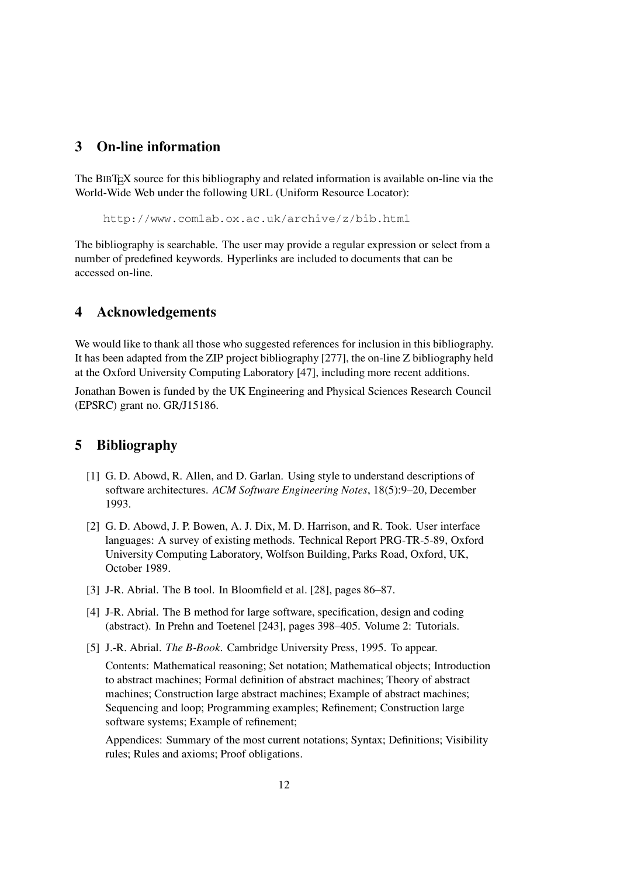## 3 On-line information

The BIBTEX source for this bibliography and related information is available on-line via the World-Wide Web under the following URL (Uniform Resource Locator):

http://www.comlab.ox.ac.uk/archive/z/bib.html

The bibliography is searchable. The user may provide a regular expression or select from a number of predefined keywords. Hyperlinks are included to documents that can be accessed on-line.

## 4 Acknowledgements

We would like to thank all those who suggested references for inclusion in this bibliography. It has been adapted from the ZIP project bibliography [277], the on-line Z bibliography held at the Oxford University Computing Laboratory [47], including more recent additions.

Jonathan Bowen is funded by the UK Engineering and Physical Sciences Research Council (EPSRC) grant no. GR/J15186.

## 5 Bibliography

- [1] G. D. Abowd, R. Allen, and D. Garlan. Using style to understand descriptions of software architectures. ACM Software Engineering Notes, 18(5):9–20, December 1993.
- [2] G. D. Abowd, J. P. Bowen, A. J. Dix, M. D. Harrison, and R. Took. User interface languages: A survey of existing methods. Technical Report PRG-TR-5-89, Oxford University Computing Laboratory, Wolfson Building, Parks Road, Oxford, UK, October 1989.
- [3] J-R. Abrial. The B tool. In Bloomfield et al. [28], pages 86–87.
- [4] J-R. Abrial. The B method for large software, specification, design and coding (abstract). In Prehn and Toetenel [243], pages 398–405. Volume 2: Tutorials.
- [5] J.-R. Abrial. *The B-Book*. Cambridge University Press, 1995. To appear.

Contents: Mathematical reasoning; Set notation; Mathematical objects; Introduction to abstract machines; Formal definition of abstract machines; Theory of abstract machines; Construction large abstract machines; Example of abstract machines; Sequencing and loop; Programming examples; Refinement; Construction large software systems; Example of refinement;

Appendices: Summary of the most current notations; Syntax; Definitions; Visibility rules; Rules and axioms; Proof obligations.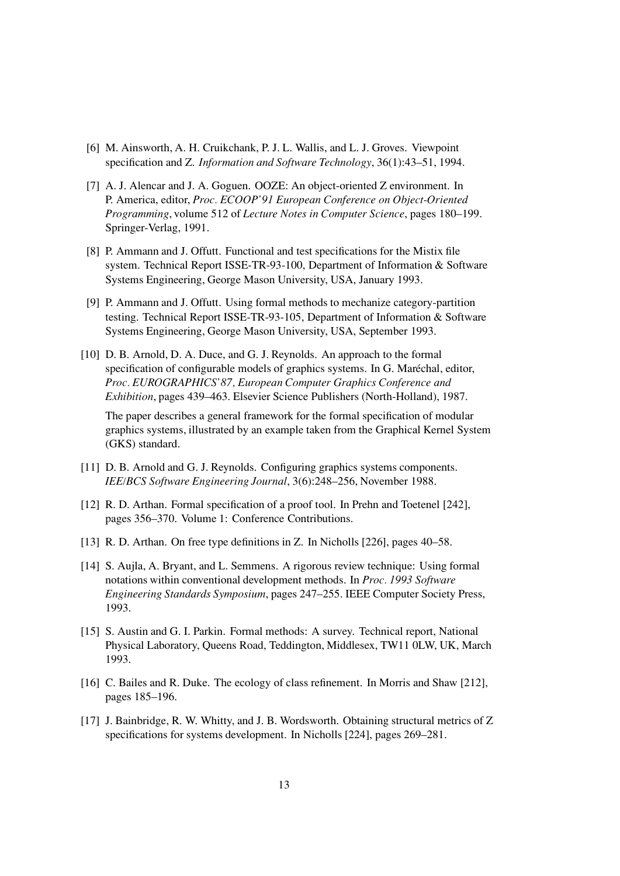- [6] M. Ainsworth, A. H. Cruikchank, P. J. L. Wallis, and L. J. Groves. Viewpoint specification and Z. Information and Software Technology, 36(1):43–51, 1994.
- [7] A. J. Alencar and J. A. Goguen. OOZE: An object-oriented Z environment. In P. America, editor, Proc. ECOOP'91 European Conference on Object-Oriented Programming, volume 512 of Lecture Notes in Computer Science, pages 180–199. Springer-Verlag, 1991.
- [8] P. Ammann and J. Offutt. Functional and test specifications for the Mistix file system. Technical Report ISSE-TR-93-100, Department of Information & Software Systems Engineering, George Mason University, USA, January 1993.
- [9] P. Ammann and J. Offutt. Using formal methods to mechanize category-partition testing. Technical Report ISSE-TR-93-105, Department of Information & Software Systems Engineering, George Mason University, USA, September 1993.
- [10] D. B. Arnold, D. A. Duce, and G. J. Reynolds. An approach to the formal specification of configurable models of graphics systems. In G. Maréchal, editor, Proc. EUROGRAPHICS'87, European Computer Graphics Conference and Exhibition, pages 439–463. Elsevier Science Publishers (North-Holland), 1987.

The paper describes a general framework for the formal specification of modular graphics systems, illustrated by an example taken from the Graphical Kernel System (GKS) standard.

- [11] D. B. Arnold and G. J. Reynolds. Configuring graphics systems components. IEE/BCS Software Engineering Journal, 3(6):248–256, November 1988.
- [12] R. D. Arthan. Formal specification of a proof tool. In Prehn and Toetenel [242], pages 356–370. Volume 1: Conference Contributions.
- [13] R. D. Arthan. On free type definitions in Z. In Nicholls [226], pages 40–58.
- [14] S. Aujla, A. Bryant, and L. Semmens. A rigorous review technique: Using formal notations within conventional development methods. In Proc. 1993 Software Engineering Standards Symposium, pages 247–255. IEEE Computer Society Press, 1993.
- [15] S. Austin and G. I. Parkin. Formal methods: A survey. Technical report, National Physical Laboratory, Queens Road, Teddington, Middlesex, TW11 0LW, UK, March 1993.
- [16] C. Bailes and R. Duke. The ecology of class refinement. In Morris and Shaw [212], pages 185–196.
- [17] J. Bainbridge, R. W. Whitty, and J. B. Wordsworth. Obtaining structural metrics of Z specifications for systems development. In Nicholls [224], pages 269–281.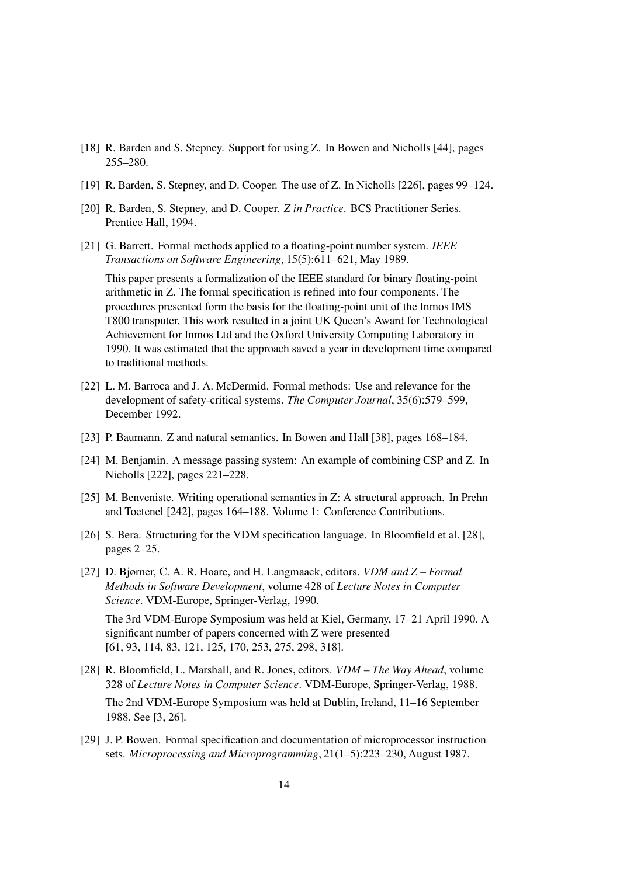- [18] R. Barden and S. Stepney. Support for using Z. In Bowen and Nicholls [44], pages 255–280.
- [19] R. Barden, S. Stepney, and D. Cooper. The use of Z. In Nicholls[226], pages 99–124.
- [20] R. Barden, S. Stepney, and D. Cooper. Z in Practice. BCS Practitioner Series. Prentice Hall, 1994.
- [21] G. Barrett. Formal methods applied to a floating-point number system. IEEE Transactions on Software Engineering, 15(5):611–621, May 1989.

This paper presents a formalization of the IEEE standard for binary floating-point arithmetic in Z. The formal specification is refined into four components. The procedures presented form the basis for the floating-point unit of the Inmos IMS T800 transputer. This work resulted in a joint UK Queen's Award for Technological Achievement for Inmos Ltd and the Oxford University Computing Laboratory in 1990. It was estimated that the approach saved a year in development time compared to traditional methods.

- [22] L. M. Barroca and J. A. McDermid. Formal methods: Use and relevance for the development of safety-critical systems. The Computer Journal, 35(6):579–599, December 1992.
- [23] P. Baumann. Z and natural semantics. In Bowen and Hall [38], pages 168–184.
- [24] M. Benjamin. A message passing system: An example of combining CSP and Z. In Nicholls [222], pages 221–228.
- [25] M. Benveniste. Writing operational semantics in Z: A structural approach. In Prehn and Toetenel [242], pages 164–188. Volume 1: Conference Contributions.
- [26] S. Bera. Structuring for the VDM specification language. In Bloomfield et al. [28], pages 2–25.
- [27] D. Bjørner, C. A. R. Hoare, and H. Langmaack, editors. VDM and Z Formal Methods in Software Development, volume 428 of Lecture Notes in Computer Science. VDM-Europe, Springer-Verlag, 1990.

The 3rd VDM-Europe Symposium was held at Kiel, Germany, 17–21 April 1990. A significant number of papers concerned with Z were presented [61, 93, 114, 83, 121, 125, 170, 253, 275, 298, 318].

- [28] R. Bloomfield, L. Marshall, and R. Jones, editors. VDM The Way Ahead, volume 328 of Lecture Notes in Computer Science. VDM-Europe, Springer-Verlag, 1988. The 2nd VDM-Europe Symposium was held at Dublin, Ireland, 11–16 September 1988. See [3, 26].
- [29] J. P. Bowen. Formal specification and documentation of microprocessor instruction sets. Microprocessing and Microprogramming, 21(1–5):223–230, August 1987.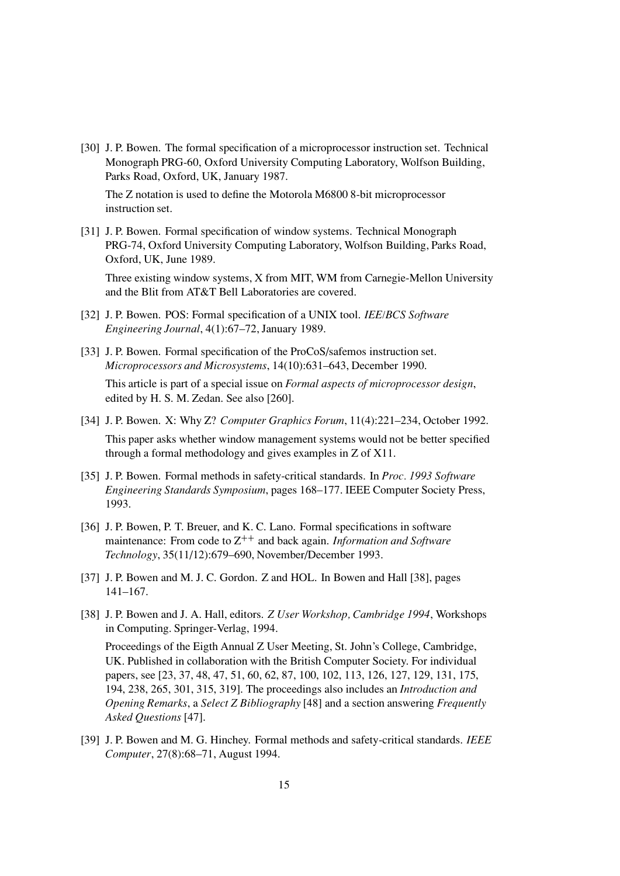[30] J. P. Bowen. The formal specification of a microprocessor instruction set. Technical Monograph PRG-60, Oxford University Computing Laboratory, Wolfson Building, Parks Road, Oxford, UK, January 1987.

The Z notation is used to define the Motorola M6800 8-bit microprocessor instruction set.

[31] J. P. Bowen. Formal specification of window systems. Technical Monograph PRG-74, Oxford University Computing Laboratory, Wolfson Building, Parks Road, Oxford, UK, June 1989.

Three existing window systems, X from MIT, WM from Carnegie-Mellon University and the Blit from AT&T Bell Laboratories are covered.

- [32] J. P. Bowen. POS: Formal specification of a UNIX tool. IEE/BCS Software Engineering Journal, 4(1):67–72, January 1989.
- [33] J. P. Bowen. Formal specification of the ProCoS/safemos instruction set. Microprocessors and Microsystems, 14(10):631–643, December 1990. This article is part of a special issue on *Formal aspects of microprocessor design*, edited by H. S. M. Zedan. See also [260].
- [34] J. P. Bowen. X: Why Z? Computer Graphics Forum, 11(4):221–234, October 1992. This paper asks whether window management systems would not be better specified through a formal methodology and gives examples in Z of X11.
- [35] J. P. Bowen. Formal methods in safety-critical standards. In *Proc. 1993 Software* Engineering Standards Symposium, pages 168–177. IEEE Computer Society Press, 1993.
- [36] J. P. Bowen, P. T. Breuer, and K. C. Lano. Formal specifications in software maintenance: From code to  $Z^{++}$  and back again. Information and Software Technology, 35(11/12):679–690, November/December 1993.
- [37] J. P. Bowen and M. J. C. Gordon. Z and HOL. In Bowen and Hall [38], pages 141–167.
- [38] J. P. Bowen and J. A. Hall, editors. Z User Workshop, Cambridge 1994, Workshops in Computing. Springer-Verlag, 1994.

Proceedings of the Eigth Annual Z User Meeting, St. John's College, Cambridge, UK. Published in collaboration with the British Computer Society. For individual papers, see [23, 37, 48, 47, 51, 60, 62, 87, 100, 102, 113, 126, 127, 129, 131, 175, 194, 238, 265, 301, 315, 319]. The proceedings also includes an Introduction and Opening Remarks, a Select Z Bibliography [48] and a section answering Frequently Asked Questions [47].

[39] J. P. Bowen and M. G. Hinchey. Formal methods and safety-critical standards. IEEE Computer, 27(8):68–71, August 1994.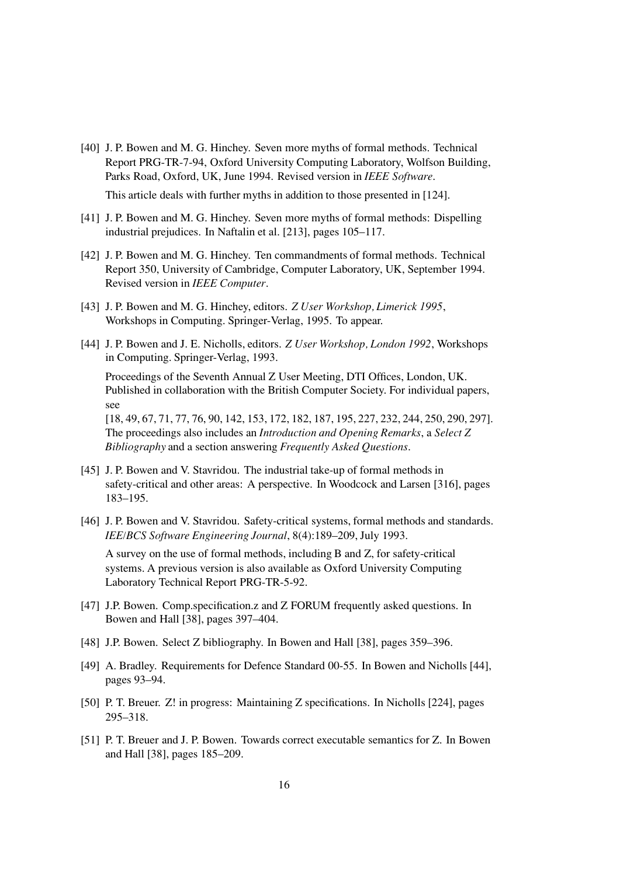[40] J. P. Bowen and M. G. Hinchey. Seven more myths of formal methods. Technical Report PRG-TR-7-94, Oxford University Computing Laboratory, Wolfson Building, Parks Road, Oxford, UK, June 1994. Revised version in IEEE Software.

This article deals with further myths in addition to those presented in [124].

- [41] J. P. Bowen and M. G. Hinchey. Seven more myths of formal methods: Dispelling industrial prejudices. In Naftalin et al. [213], pages 105–117.
- [42] J. P. Bowen and M. G. Hinchey. Ten commandments of formal methods. Technical Report 350, University of Cambridge, Computer Laboratory, UK, September 1994. Revised version in IEEE Computer.
- [43] J. P. Bowen and M. G. Hinchey, editors. Z User Workshop, Limerick 1995, Workshops in Computing. Springer-Verlag, 1995. To appear.
- [44] J. P. Bowen and J. E. Nicholls, editors. Z User Workshop, London 1992, Workshops in Computing. Springer-Verlag, 1993.

Proceedings of the Seventh Annual Z User Meeting, DTI Offices, London, UK. Published in collaboration with the British Computer Society. For individual papers, see

[18, 49, 67, 71, 77, 76, 90, 142, 153, 172, 182, 187, 195, 227, 232, 244, 250, 290, 297]. The proceedings also includes an Introduction and Opening Remarks, a Select Z Bibliography and a section answering Frequently Asked Questions.

- [45] J. P. Bowen and V. Stavridou. The industrial take-up of formal methods in safety-critical and other areas: A perspective. In Woodcock and Larsen [316], pages 183–195.
- [46] J. P. Bowen and V. Stavridou. Safety-critical systems, formal methods and standards. IEE/BCS Software Engineering Journal, 8(4):189–209, July 1993.

A survey on the use of formal methods, including B and Z, for safety-critical systems. A previous version is also available as Oxford University Computing Laboratory Technical Report PRG-TR-5-92.

- [47] J.P. Bowen. Comp.specification.z and Z FORUM frequently asked questions. In Bowen and Hall [38], pages 397–404.
- [48] J.P. Bowen. Select Z bibliography. In Bowen and Hall [38], pages 359–396.
- [49] A. Bradley. Requirements for Defence Standard 00-55. In Bowen and Nicholls [44], pages 93–94.
- [50] P. T. Breuer. Z! in progress: Maintaining Z specifications. In Nicholls [224], pages 295–318.
- [51] P. T. Breuer and J. P. Bowen. Towards correct executable semantics for Z. In Bowen and Hall [38], pages 185–209.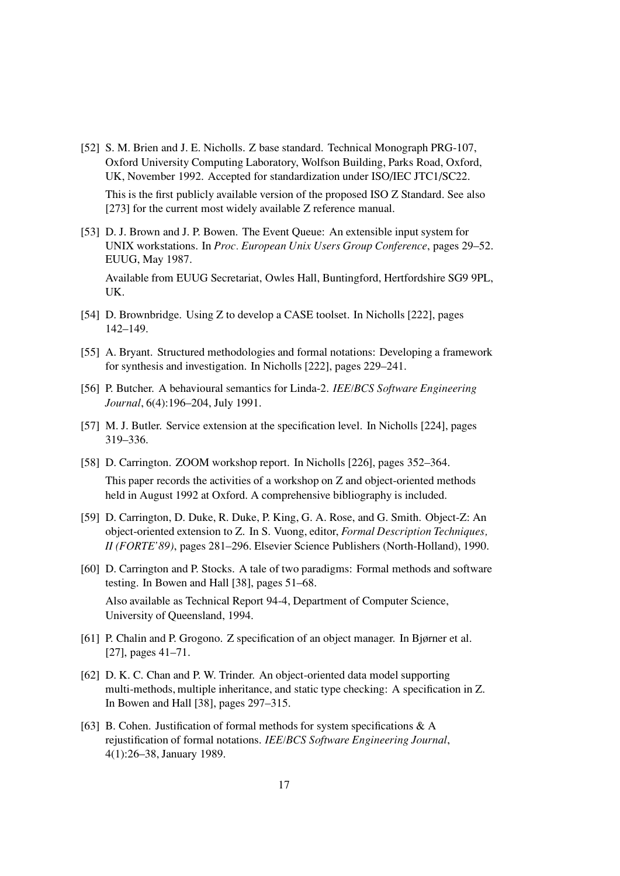[52] S. M. Brien and J. E. Nicholls. Z base standard. Technical Monograph PRG-107, Oxford University Computing Laboratory, Wolfson Building, Parks Road, Oxford, UK, November 1992. Accepted for standardization under ISO/IEC JTC1/SC22. This is the first publicly available version of the proposed ISO Z Standard. See also

[273] for the current most widely available Z reference manual.

[53] D. J. Brown and J. P. Bowen. The Event Queue: An extensible input system for UNIX workstations. In Proc. European Unix Users Group Conference, pages 29–52. EUUG, May 1987.

Available from EUUG Secretariat, Owles Hall, Buntingford, Hertfordshire SG9 9PL, UK.

- [54] D. Brownbridge. Using Z to develop a CASE toolset. In Nicholls [222], pages 142–149.
- [55] A. Bryant. Structured methodologies and formal notations: Developing a framework for synthesis and investigation. In Nicholls [222], pages 229–241.
- [56] P. Butcher. A behavioural semantics for Linda-2. IEE/BCS Software Engineering Journal, 6(4):196–204, July 1991.
- [57] M. J. Butler. Service extension at the specification level. In Nicholls [224], pages 319–336.
- [58] D. Carrington. ZOOM workshop report. In Nicholls [226], pages 352–364. This paper records the activities of a workshop on Z and object-oriented methods held in August 1992 at Oxford. A comprehensive bibliography is included.
- [59] D. Carrington, D. Duke, R. Duke, P. King, G. A. Rose, and G. Smith. Object-Z: An object-oriented extension to Z. In S. Vuong, editor, Formal Description Techniques, II (FORTE'89), pages 281–296. Elsevier Science Publishers (North-Holland), 1990.
- [60] D. Carrington and P. Stocks. A tale of two paradigms: Formal methods and software testing. In Bowen and Hall [38], pages 51–68. Also available as Technical Report 94-4, Department of Computer Science, University of Queensland, 1994.
- [61] P. Chalin and P. Grogono. Z specification of an object manager. In Bjørner et al. [27], pages 41–71.
- [62] D. K. C. Chan and P. W. Trinder. An object-oriented data model supporting multi-methods, multiple inheritance, and static type checking: A specification in Z. In Bowen and Hall [38], pages 297–315.
- [63] B. Cohen. Justification of formal methods for system specifications  $\& A$ rejustification of formal notations. IEE/BCS Software Engineering Journal, 4(1):26–38, January 1989.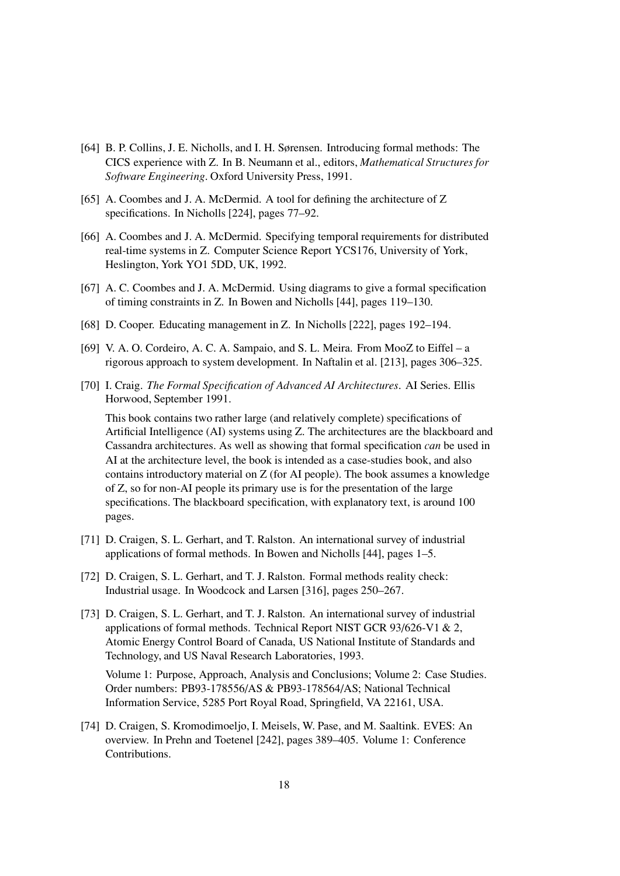- [64] B. P. Collins, J. E. Nicholls, and I. H. Sørensen. Introducing formal methods: The CICS experience with Z. In B. Neumann et al., editors, Mathematical Structures for Software Engineering. Oxford University Press, 1991.
- [65] A. Coombes and J. A. McDermid. A tool for defining the architecture of Z specifications. In Nicholls [224], pages 77–92.
- [66] A. Coombes and J. A. McDermid. Specifying temporal requirements for distributed real-time systems in Z. Computer Science Report YCS176, University of York, Heslington, York YO1 5DD, UK, 1992.
- [67] A. C. Coombes and J. A. McDermid. Using diagrams to give a formal specification of timing constraints in Z. In Bowen and Nicholls [44], pages 119–130.
- [68] D. Cooper. Educating management in Z. In Nicholls [222], pages 192–194.
- [69] V. A. O. Cordeiro, A. C. A. Sampaio, and S. L. Meira. From MooZ to Eiffel a rigorous approach to system development. In Naftalin et al. [213], pages 306–325.
- [70] I. Craig. The Formal Specification of Advanced AI Architectures. AI Series. Ellis Horwood, September 1991.

This book contains two rather large (and relatively complete) specifications of Artificial Intelligence (AI) systems using Z. The architectures are the blackboard and Cassandra architectures. As well as showing that formal specification can be used in AI at the architecture level, the book is intended as a case-studies book, and also contains introductory material on Z (for AI people). The book assumes a knowledge of Z, so for non-AI people its primary use is for the presentation of the large specifications. The blackboard specification, with explanatory text, is around 100 pages.

- [71] D. Craigen, S. L. Gerhart, and T. Ralston. An international survey of industrial applications of formal methods. In Bowen and Nicholls [44], pages 1–5.
- [72] D. Craigen, S. L. Gerhart, and T. J. Ralston. Formal methods reality check: Industrial usage. In Woodcock and Larsen [316], pages 250–267.
- [73] D. Craigen, S. L. Gerhart, and T. J. Ralston. An international survey of industrial applications of formal methods. Technical Report NIST GCR 93/626-V1 & 2, Atomic Energy Control Board of Canada, US National Institute of Standards and Technology, and US Naval Research Laboratories, 1993.

Volume 1: Purpose, Approach, Analysis and Conclusions; Volume 2: Case Studies. Order numbers: PB93-178556/AS & PB93-178564/AS; National Technical Information Service, 5285 Port Royal Road, Springfield, VA 22161, USA.

[74] D. Craigen, S. Kromodimoeljo, I. Meisels, W. Pase, and M. Saaltink. EVES: An overview. In Prehn and Toetenel [242], pages 389–405. Volume 1: Conference Contributions.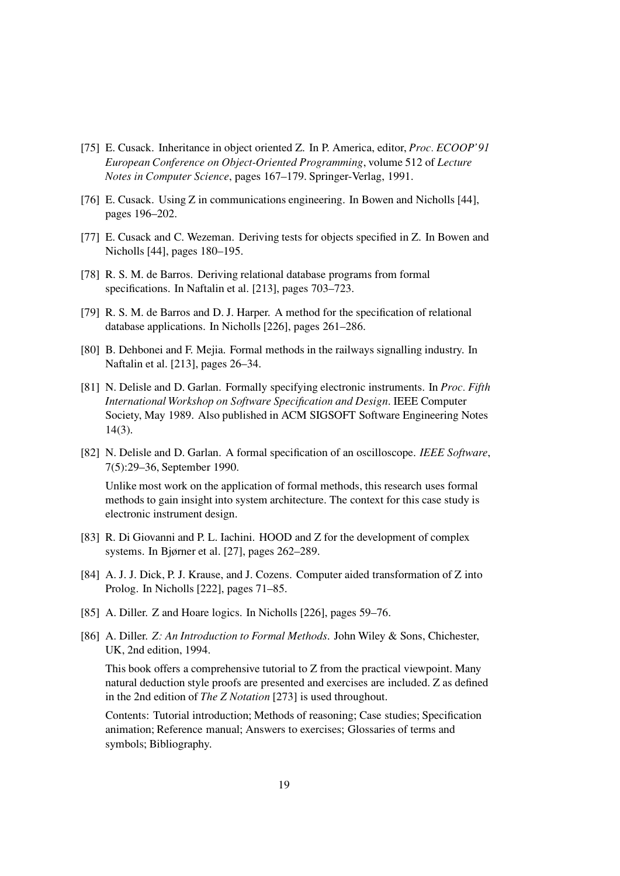- [75] E. Cusack. Inheritance in object oriented Z. In P. America, editor, *Proc. ECOOP'91* European Conference on Object-Oriented Programming, volume 512 of Lecture Notes in Computer Science, pages 167–179. Springer-Verlag, 1991.
- [76] E. Cusack. Using Z in communications engineering. In Bowen and Nicholls [44], pages 196–202.
- [77] E. Cusack and C. Wezeman. Deriving tests for objects specified in Z. In Bowen and Nicholls [44], pages 180–195.
- [78] R. S. M. de Barros. Deriving relational database programs from formal specifications. In Naftalin et al. [213], pages 703–723.
- [79] R. S. M. de Barros and D. J. Harper. A method for the specification of relational database applications. In Nicholls [226], pages 261–286.
- [80] B. Dehbonei and F. Mejia. Formal methods in the railways signalling industry. In Naftalin et al. [213], pages 26–34.
- [81] N. Delisle and D. Garlan. Formally specifying electronic instruments. In *Proc. Fifth* International Workshop on Software Specification and Design. IEEE Computer Society, May 1989. Also published in ACM SIGSOFT Software Engineering Notes 14(3).
- [82] N. Delisle and D. Garlan. A formal specification of an oscilloscope. IEEE Software, 7(5):29–36, September 1990.

Unlike most work on the application of formal methods, this research uses formal methods to gain insight into system architecture. The context for this case study is electronic instrument design.

- [83] R. Di Giovanni and P. L. Iachini. HOOD and Z for the development of complex systems. In Bjørner et al. [27], pages 262–289.
- [84] A. J. J. Dick, P. J. Krause, and J. Cozens. Computer aided transformation of Z into Prolog. In Nicholls [222], pages 71–85.
- [85] A. Diller. Z and Hoare logics. In Nicholls [226], pages 59–76.
- [86] A. Diller. Z: An Introduction to Formal Methods. John Wiley & Sons, Chichester, UK, 2nd edition, 1994.

This book offers a comprehensive tutorial to Z from the practical viewpoint. Many natural deduction style proofs are presented and exercises are included. Z as defined in the 2nd edition of The Z Notation [273] is used throughout.

Contents: Tutorial introduction; Methods of reasoning; Case studies; Specification animation; Reference manual; Answers to exercises; Glossaries of terms and symbols; Bibliography.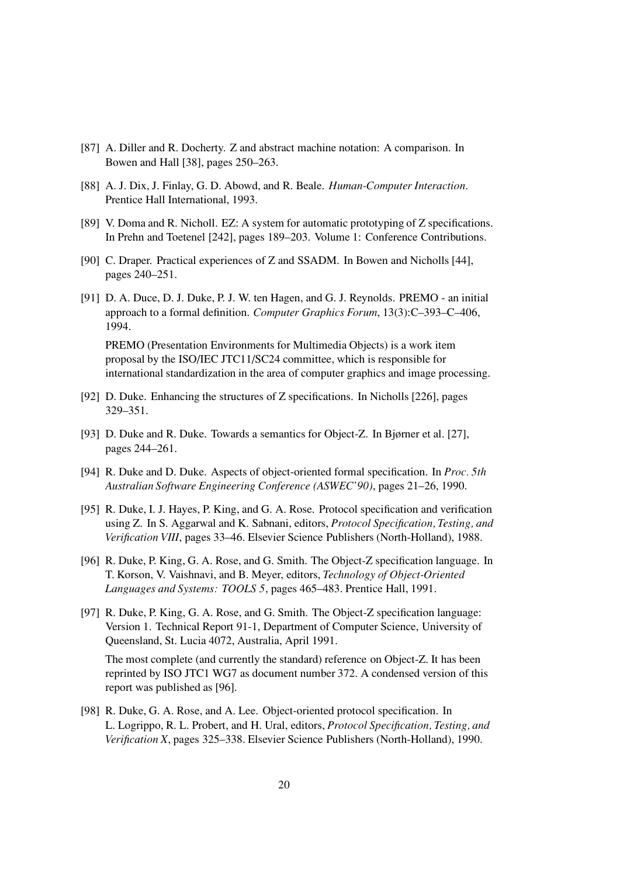- [87] A. Diller and R. Docherty. Z and abstract machine notation: A comparison. In Bowen and Hall [38], pages 250–263.
- [88] A. J. Dix, J. Finlay, G. D. Abowd, and R. Beale. Human-Computer Interaction. Prentice Hall International, 1993.
- [89] V. Doma and R. Nicholl. EZ: A system for automatic prototyping of Z specifications. In Prehn and Toetenel [242], pages 189–203. Volume 1: Conference Contributions.
- [90] C. Draper. Practical experiences of Z and SSADM. In Bowen and Nicholls [44], pages 240–251.
- [91] D. A. Duce, D. J. Duke, P. J. W. ten Hagen, and G. J. Reynolds. PREMO an initial approach to a formal definition. Computer Graphics Forum, 13(3):C–393–C–406, 1994. PREMO (Presentation Environments for Multimedia Objects) is a work item proposal by the ISO/IEC JTC11/SC24 committee, which is responsible for

international standardization in the area of computer graphics and image processing.

- [92] D. Duke. Enhancing the structures of Z specifications. In Nicholls [226], pages 329–351.
- [93] D. Duke and R. Duke. Towards a semantics for Object-Z. In Bjørner et al. [27], pages 244–261.
- [94] R. Duke and D. Duke. Aspects of object-oriented formal specification. In *Proc. 5th* Australian Software Engineering Conference (ASWEC'90), pages 21–26, 1990.
- [95] R. Duke, I. J. Hayes, P. King, and G. A. Rose. Protocol specification and verification using Z. In S. Aggarwal and K. Sabnani, editors, Protocol Specification, Testing, and Verification VIII, pages 33–46. Elsevier Science Publishers (North-Holland), 1988.
- [96] R. Duke, P. King, G. A. Rose, and G. Smith. The Object-Z specification language. In T. Korson, V. Vaishnavi, and B. Meyer, editors, Technology of Object-Oriented Languages and Systems: TOOLS 5, pages 465–483. Prentice Hall, 1991.
- [97] R. Duke, P. King, G. A. Rose, and G. Smith. The Object-Z specification language: Version 1. Technical Report 91-1, Department of Computer Science, University of Queensland, St. Lucia 4072, Australia, April 1991.

The most complete (and currently the standard) reference on Object-Z. It has been reprinted by ISO JTC1 WG7 as document number 372. A condensed version of this report was published as [96].

[98] R. Duke, G. A. Rose, and A. Lee. Object-oriented protocol specification. In L. Logrippo, R. L. Probert, and H. Ural, editors, Protocol Specification, Testing, and Verification X, pages 325–338. Elsevier Science Publishers (North-Holland), 1990.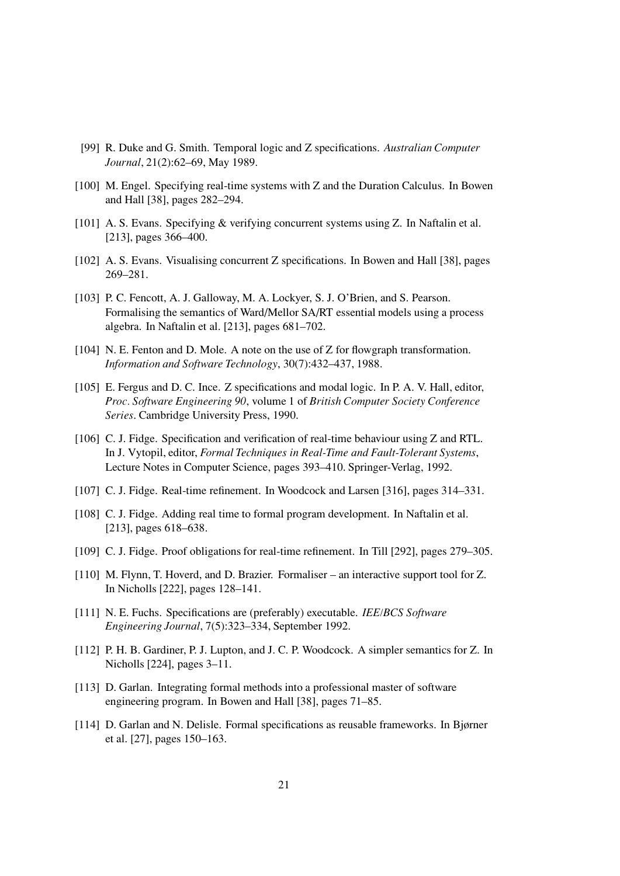- [99] R. Duke and G. Smith. Temporal logic and Z specifications. Australian Computer Journal, 21(2):62–69, May 1989.
- [100] M. Engel. Specifying real-time systems with Z and the Duration Calculus. In Bowen and Hall [38], pages 282–294.
- [101] A. S. Evans. Specifying & verifying concurrent systems using Z. In Naftalin et al. [213], pages 366–400.
- [102] A. S. Evans. Visualising concurrent Z specifications. In Bowen and Hall [38], pages 269–281.
- [103] P. C. Fencott, A. J. Galloway, M. A. Lockyer, S. J. O'Brien, and S. Pearson. Formalising the semantics of Ward/Mellor SA/RT essential models using a process algebra. In Naftalin et al. [213], pages 681–702.
- [104] N. E. Fenton and D. Mole. A note on the use of Z for flowgraph transformation. Information and Software Technology, 30(7):432–437, 1988.
- [105] E. Fergus and D. C. Ince. Z specifications and modal logic. In P. A. V. Hall, editor, Proc. Software Engineering 90, volume 1 of British Computer Society Conference Series. Cambridge University Press, 1990.
- [106] C. J. Fidge. Specification and verification of real-time behaviour using Z and RTL. In J. Vytopil, editor, Formal Techniques in Real-Time and Fault-Tolerant Systems, Lecture Notes in Computer Science, pages 393–410. Springer-Verlag, 1992.
- [107] C. J. Fidge. Real-time refinement. In Woodcock and Larsen [316], pages 314–331.
- [108] C. J. Fidge. Adding real time to formal program development. In Naftalin et al. [213], pages 618–638.
- [109] C. J. Fidge. Proof obligations for real-time refinement. In Till [292], pages 279–305.
- [110] M. Flynn, T. Hoverd, and D. Brazier. Formaliser an interactive support tool for Z. In Nicholls [222], pages 128–141.
- [111] N. E. Fuchs. Specifications are (preferably) executable. *IEE/BCS Software* Engineering Journal, 7(5):323–334, September 1992.
- [112] P. H. B. Gardiner, P. J. Lupton, and J. C. P. Woodcock. A simpler semantics for Z. In Nicholls [224], pages 3–11.
- [113] D. Garlan. Integrating formal methods into a professional master of software engineering program. In Bowen and Hall [38], pages 71–85.
- [114] D. Garlan and N. Delisle. Formal specifications as reusable frameworks. In Bjørner et al. [27], pages 150–163.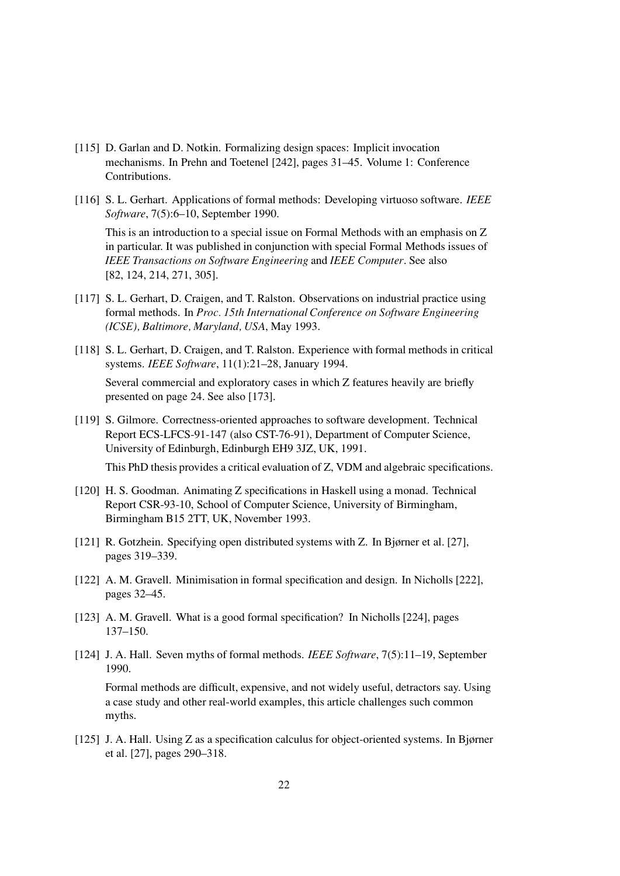- [115] D. Garlan and D. Notkin. Formalizing design spaces: Implicit invocation mechanisms. In Prehn and Toetenel [242], pages 31–45. Volume 1: Conference Contributions.
- [116] S. L. Gerhart. Applications of formal methods: Developing virtuoso software. IEEE Software, 7(5):6–10, September 1990.

This is an introduction to a special issue on Formal Methods with an emphasis on Z in particular. It was published in conjunction with special Formal Methods issues of IEEE Transactions on Software Engineering and IEEE Computer. See also [82, 124, 214, 271, 305].

- [117] S. L. Gerhart, D. Craigen, and T. Ralston. Observations on industrial practice using formal methods. In Proc. 15th International Conference on Software Engineering (ICSE), Baltimore, Maryland, USA, May 1993.
- [118] S. L. Gerhart, D. Craigen, and T. Ralston. Experience with formal methods in critical systems. IEEE Software, 11(1):21–28, January 1994. Several commercial and exploratory cases in which Z features heavily are briefly presented on page 24. See also [173].
- [119] S. Gilmore. Correctness-oriented approaches to software development. Technical Report ECS-LFCS-91-147 (also CST-76-91), Department of Computer Science, University of Edinburgh, Edinburgh EH9 3JZ, UK, 1991.

This PhD thesis provides a critical evaluation of Z, VDM and algebraic specifications.

- [120] H. S. Goodman. Animating Z specifications in Haskell using a monad. Technical Report CSR-93-10, School of Computer Science, University of Birmingham, Birmingham B15 2TT, UK, November 1993.
- [121] R. Gotzhein. Specifying open distributed systems with Z. In Bjørner et al. [27], pages 319–339.
- [122] A. M. Gravell. Minimisation in formal specification and design. In Nicholls [222], pages 32–45.
- [123] A. M. Gravell. What is a good formal specification? In Nicholls [224], pages 137–150.
- [124] J. A. Hall. Seven myths of formal methods. *IEEE Software*, 7(5):11–19, September 1990.

Formal methods are difficult, expensive, and not widely useful, detractors say. Using a case study and other real-world examples, this article challenges such common myths.

[125] J. A. Hall. Using Z as a specification calculus for object-oriented systems. In Bjørner et al. [27], pages 290–318.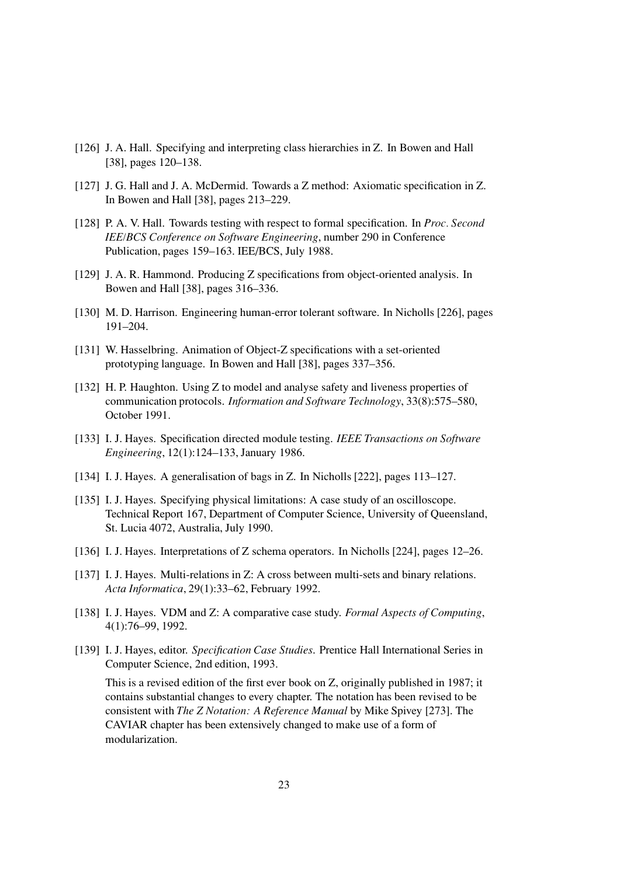- [126] J. A. Hall. Specifying and interpreting class hierarchies in Z. In Bowen and Hall [38], pages 120–138.
- [127] J. G. Hall and J. A. McDermid. Towards a Z method: Axiomatic specification in Z. In Bowen and Hall [38], pages 213–229.
- [128] P. A. V. Hall. Towards testing with respect to formal specification. In *Proc. Second* IEE/BCS Conference on Software Engineering, number 290 in Conference Publication, pages 159–163. IEE/BCS, July 1988.
- [129] J. A. R. Hammond. Producing Z specifications from object-oriented analysis. In Bowen and Hall [38], pages 316–336.
- [130] M. D. Harrison. Engineering human-error tolerant software. In Nicholls [226], pages 191–204.
- [131] W. Hasselbring. Animation of Object-Z specifications with a set-oriented prototyping language. In Bowen and Hall [38], pages 337–356.
- [132] H. P. Haughton. Using Z to model and analyse safety and liveness properties of communication protocols. Information and Software Technology, 33(8):575–580, October 1991.
- [133] I. J. Hayes. Specification directed module testing. IEEE Transactions on Software Engineering, 12(1):124–133, January 1986.
- [134] I. J. Hayes. A generalisation of bags in Z. In Nicholls [222], pages 113–127.
- [135] I. J. Hayes. Specifying physical limitations: A case study of an oscilloscope. Technical Report 167, Department of Computer Science, University of Queensland, St. Lucia 4072, Australia, July 1990.
- [136] I. J. Hayes. Interpretations of Z schema operators. In Nicholls [224], pages 12–26.
- [137] I. J. Hayes. Multi-relations in Z: A cross between multi-sets and binary relations. Acta Informatica, 29(1):33–62, February 1992.
- [138] I. J. Hayes. VDM and Z: A comparative case study. Formal Aspects of Computing, 4(1):76–99, 1992.
- [139] I. J. Hayes, editor. Specification Case Studies. Prentice Hall International Series in Computer Science, 2nd edition, 1993.

This is a revised edition of the first ever book on Z, originally published in 1987; it contains substantial changes to every chapter. The notation has been revised to be consistent with The Z Notation: A Reference Manual by Mike Spivey [273]. The CAVIAR chapter has been extensively changed to make use of a form of modularization.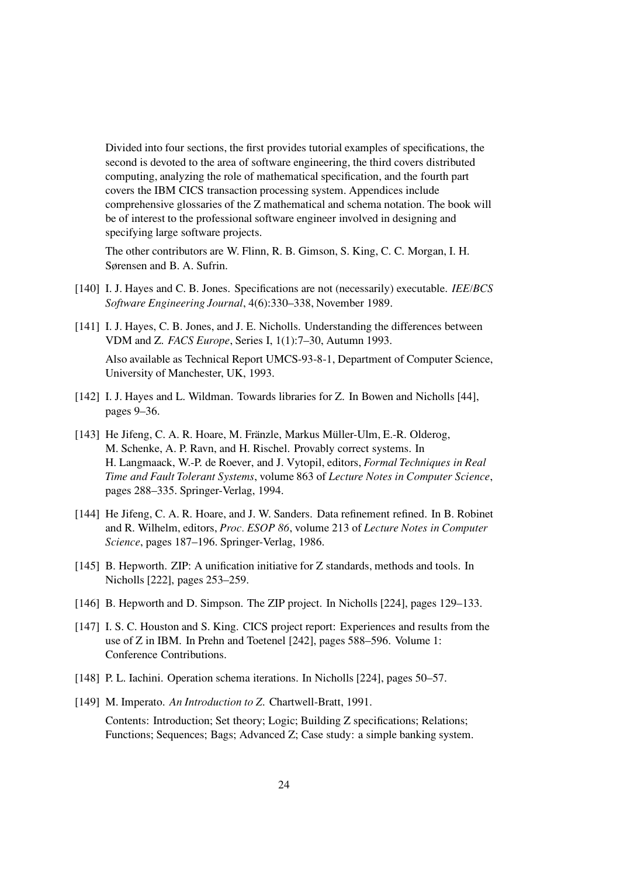Divided into four sections, the first provides tutorial examples of specifications, the second is devoted to the area of software engineering, the third covers distributed computing, analyzing the role of mathematical specification, and the fourth part covers the IBM CICS transaction processing system. Appendices include comprehensive glossaries of the Z mathematical and schema notation. The book will be of interest to the professional software engineer involved in designing and specifying large software projects.

The other contributors are W. Flinn, R. B. Gimson, S. King, C. C. Morgan, I. H. Sørensen and B. A. Sufrin.

- [140] I. J. Hayes and C. B. Jones. Specifications are not (necessarily) executable. *IEE/BCS* Software Engineering Journal, 4(6):330–338, November 1989.
- [141] I. J. Hayes, C. B. Jones, and J. E. Nicholls. Understanding the differences between VDM and Z. FACS Europe, Series I, 1(1):7–30, Autumn 1993. Also available as Technical Report UMCS-93-8-1, Department of Computer Science,

University of Manchester, UK, 1993.

- [142] I. J. Hayes and L. Wildman. Towards libraries for Z. In Bowen and Nicholls [44], pages 9–36.
- [143] He Jifeng, C. A. R. Hoare, M. Fränzle, Markus Müller-Ulm, E.-R. Olderog, M. Schenke, A. P. Ravn, and H. Rischel. Provably correct systems. In H. Langmaack, W.-P. de Roever, and J. Vytopil, editors, Formal Techniques in Real Time and Fault Tolerant Systems, volume 863 of Lecture Notes in Computer Science, pages 288–335. Springer-Verlag, 1994.
- [144] He Jifeng, C. A. R. Hoare, and J. W. Sanders. Data refinement refined. In B. Robinet and R. Wilhelm, editors, Proc. ESOP 86, volume 213 of Lecture Notes in Computer Science, pages 187–196. Springer-Verlag, 1986.
- [145] B. Hepworth. ZIP: A unification initiative for Z standards, methods and tools. In Nicholls [222], pages 253–259.
- [146] B. Hepworth and D. Simpson. The ZIP project. In Nicholls [224], pages 129–133.
- [147] I. S. C. Houston and S. King. CICS project report: Experiences and results from the use of Z in IBM. In Prehn and Toetenel [242], pages 588–596. Volume 1: Conference Contributions.
- [148] P. L. Iachini. Operation schema iterations. In Nicholls [224], pages 50–57.
- [149] M. Imperato. An Introduction to Z. Chartwell-Bratt, 1991.

Contents: Introduction; Set theory; Logic; Building Z specifications; Relations; Functions; Sequences; Bags; Advanced Z; Case study: a simple banking system.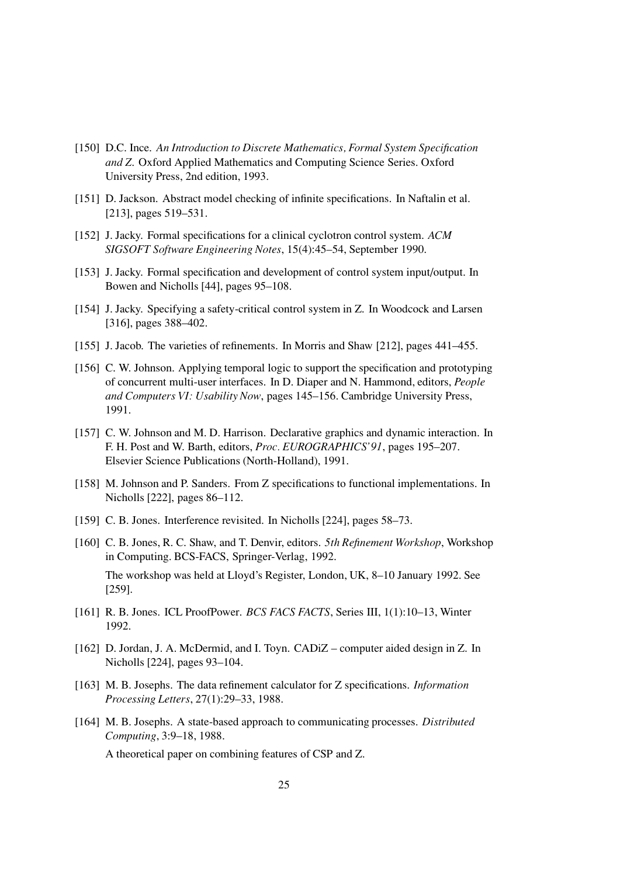- [150] D.C. Ince. An Introduction to Discrete Mathematics, Formal System Specification and Z. Oxford Applied Mathematics and Computing Science Series. Oxford University Press, 2nd edition, 1993.
- [151] D. Jackson. Abstract model checking of infinite specifications. In Naftalin et al. [213], pages 519–531.
- [152] J. Jacky. Formal specifications for a clinical cyclotron control system. ACM SIGSOFT Software Engineering Notes, 15(4):45–54, September 1990.
- [153] J. Jacky. Formal specification and development of control system input/output. In Bowen and Nicholls [44], pages 95–108.
- [154] J. Jacky. Specifying a safety-critical control system in Z. In Woodcock and Larsen [316], pages 388–402.
- [155] J. Jacob. The varieties of refinements. In Morris and Shaw [212], pages 441–455.
- [156] C. W. Johnson. Applying temporal logic to support the specification and prototyping of concurrent multi-user interfaces. In D. Diaper and N. Hammond, editors, People and Computers VI: Usability Now, pages 145–156. Cambridge University Press, 1991.
- [157] C. W. Johnson and M. D. Harrison. Declarative graphics and dynamic interaction. In F. H. Post and W. Barth, editors, Proc. EUROGRAPHICS'91, pages 195–207. Elsevier Science Publications (North-Holland), 1991.
- [158] M. Johnson and P. Sanders. From Z specifications to functional implementations. In Nicholls [222], pages 86–112.
- [159] C. B. Jones. Interference revisited. In Nicholls [224], pages 58–73.
- [160] C. B. Jones, R. C. Shaw, and T. Denvir, editors. 5th Refinement Workshop, Workshop in Computing. BCS-FACS, Springer-Verlag, 1992. The workshop was held at Lloyd's Register, London, UK, 8–10 January 1992. See [259].
- [161] R. B. Jones. ICL ProofPower. BCS FACS FACTS, Series III, 1(1):10–13, Winter 1992.
- [162] D. Jordan, J. A. McDermid, and I. Toyn. CADiZ computer aided design in Z. In Nicholls [224], pages 93–104.
- [163] M. B. Josephs. The data refinement calculator for Z specifications. Information Processing Letters, 27(1):29–33, 1988.
- [164] M. B. Josephs. A state-based approach to communicating processes. Distributed Computing, 3:9–18, 1988.

A theoretical paper on combining features of CSP and Z.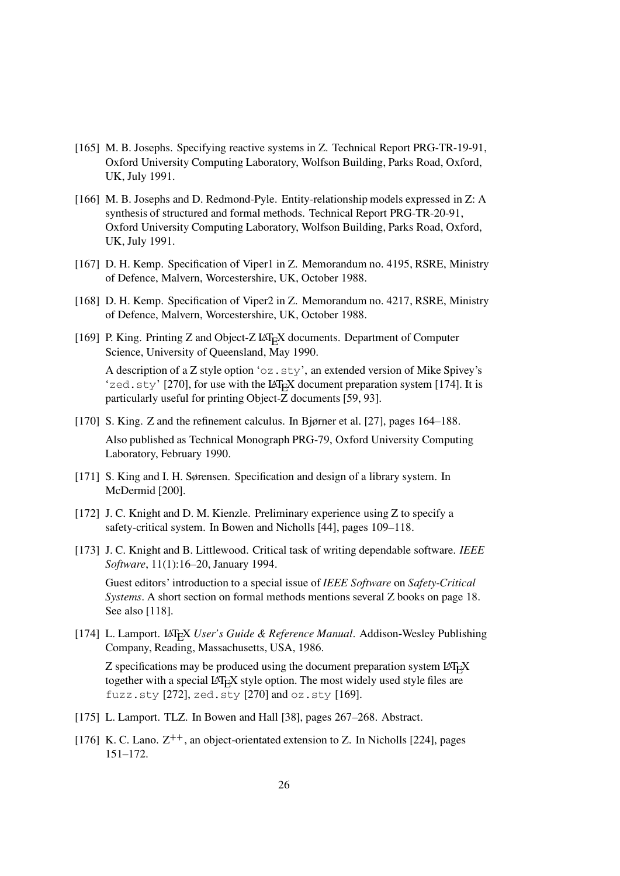- [165] M. B. Josephs. Specifying reactive systems in Z. Technical Report PRG-TR-19-91, Oxford University Computing Laboratory, Wolfson Building, Parks Road, Oxford, UK, July 1991.
- [166] M. B. Josephs and D. Redmond-Pyle. Entity-relationship models expressed in Z: A synthesis of structured and formal methods. Technical Report PRG-TR-20-91, Oxford University Computing Laboratory, Wolfson Building, Parks Road, Oxford, UK, July 1991.
- [167] D. H. Kemp. Specification of Viper1 in Z. Memorandum no. 4195, RSRE, Ministry of Defence, Malvern, Worcestershire, UK, October 1988.
- [168] D. H. Kemp. Specification of Viper2 in Z. Memorandum no. 4217, RSRE, Ministry of Defence, Malvern, Worcestershire, UK, October 1988.
- [169] P. King. Printing Z and Object-Z LAT<sub>E</sub>X documents. Department of Computer Science, University of Queensland, May 1990. A description of a Z style option 'oz.sty', an extended version of Mike Spivey's 'zed.sty' [270], for use with the  $LAT<sub>E</sub>X$  document preparation system [174]. It is
- [170] S. King. Z and the refinement calculus. In Bjørner et al. [27], pages 164–188. Also published as Technical Monograph PRG-79, Oxford University Computing Laboratory, February 1990.
- [171] S. King and I. H. Sørensen. Specification and design of a library system. In McDermid [200].

particularly useful for printing Object-Z documents [59, 93].

- [172] J. C. Knight and D. M. Kienzle. Preliminary experience using Z to specify a safety-critical system. In Bowen and Nicholls [44], pages 109–118.
- [173] J. C. Knight and B. Littlewood. Critical task of writing dependable software. IEEE Software, 11(1):16–20, January 1994.

Guest editors' introduction to a special issue of IEEE Software on Safety-Critical Systems. A short section on formal methods mentions several Z books on page 18. See also [118].

[174] L. Lamport. LATEX User's Guide & Reference Manual. Addison-Wesley Publishing Company, Reading, Massachusetts, USA, 1986.

 $Z$  specifications may be produced using the document preparation system  $LAT$ <sub>E</sub> $X$ together with a special LAT<sub>E</sub>X style option. The most widely used style files are fuzz.sty [272], zed.sty [270] and oz.sty [169].

- [175] L. Lamport. TLZ. In Bowen and Hall [38], pages 267–268. Abstract.
- [176] K. C. Lano.  $Z^{++}$ , an object-orientated extension to Z. In Nicholls [224], pages 151–172.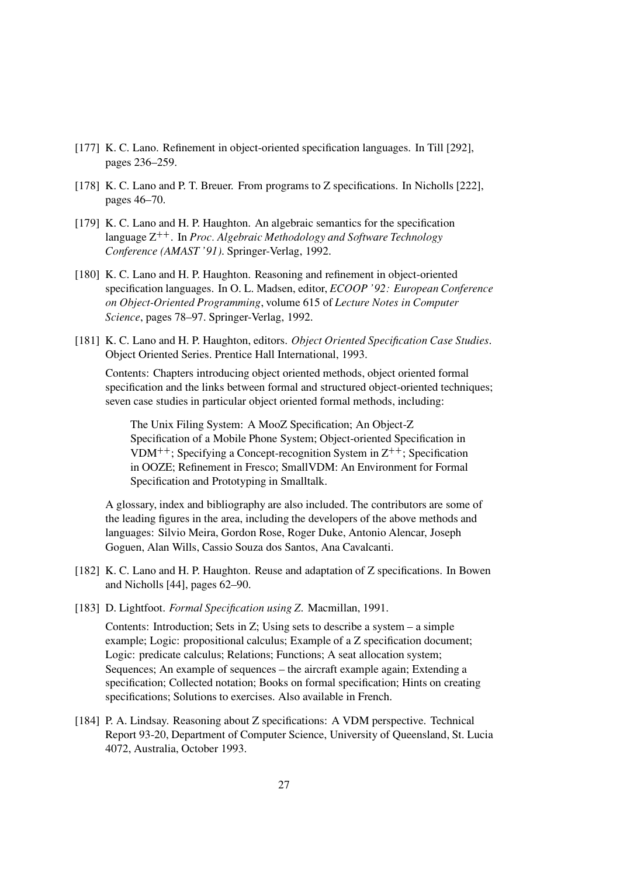- [177] K. C. Lano. Refinement in object-oriented specification languages. In Till [292], pages 236–259.
- [178] K. C. Lano and P. T. Breuer. From programs to Z specifications. In Nicholls [222], pages 46–70.
- [179] K. C. Lano and H. P. Haughton. An algebraic semantics for the specification language  $Z^{++}$ . In *Proc. Algebraic Methodology and Software Technology* Conference (AMAST '91). Springer-Verlag, 1992.
- [180] K. C. Lano and H. P. Haughton. Reasoning and refinement in object-oriented specification languages. In O. L. Madsen, editor, ECOOP '92: European Conference on Object-Oriented Programming, volume 615 of Lecture Notes in Computer Science, pages 78–97. Springer-Verlag, 1992.
- [181] K. C. Lano and H. P. Haughton, editors. *Object Oriented Specification Case Studies*. Object Oriented Series. Prentice Hall International, 1993.

Contents: Chapters introducing object oriented methods, object oriented formal specification and the links between formal and structured object-oriented techniques; seven case studies in particular object oriented formal methods, including:

The Unix Filing System: A MooZ Specification; An Object-Z Specification of a Mobile Phone System; Object-oriented Specification in VDM<sup>++</sup>; Specifying a Concept-recognition System in  $Z^{++}$ ; Specification in OOZE; Refinement in Fresco; SmallVDM: An Environment for Formal Specification and Prototyping in Smalltalk.

A glossary, index and bibliography are also included. The contributors are some of the leading figures in the area, including the developers of the above methods and languages: Silvio Meira, Gordon Rose, Roger Duke, Antonio Alencar, Joseph Goguen, Alan Wills, Cassio Souza dos Santos, Ana Cavalcanti.

- [182] K. C. Lano and H. P. Haughton. Reuse and adaptation of Z specifications. In Bowen and Nicholls [44], pages 62–90.
- [183] D. Lightfoot. Formal Specification using Z. Macmillan, 1991.

Contents: Introduction; Sets in Z; Using sets to describe a system – a simple example; Logic: propositional calculus; Example of a Z specification document; Logic: predicate calculus; Relations; Functions; A seat allocation system; Sequences; An example of sequences – the aircraft example again; Extending a specification; Collected notation; Books on formal specification; Hints on creating specifications; Solutions to exercises. Also available in French.

[184] P. A. Lindsay. Reasoning about Z specifications: A VDM perspective. Technical Report 93-20, Department of Computer Science, University of Queensland, St. Lucia 4072, Australia, October 1993.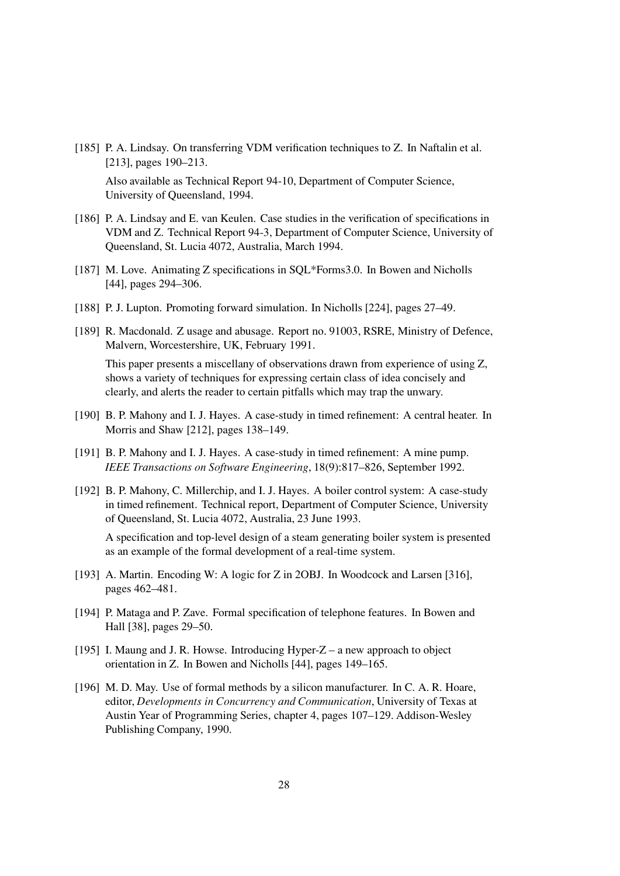[185] P. A. Lindsay. On transferring VDM verification techniques to Z. In Naftalin et al. [213], pages 190–213.

Also available as Technical Report 94-10, Department of Computer Science, University of Queensland, 1994.

- [186] P. A. Lindsay and E. van Keulen. Case studies in the verification of specifications in VDM and Z. Technical Report 94-3, Department of Computer Science, University of Queensland, St. Lucia 4072, Australia, March 1994.
- [187] M. Love. Animating Z specifications in SQL\*Forms3.0. In Bowen and Nicholls [44], pages 294–306.
- [188] P. J. Lupton. Promoting forward simulation. In Nicholls [224], pages 27–49.
- [189] R. Macdonald. Z usage and abusage. Report no. 91003, RSRE, Ministry of Defence, Malvern, Worcestershire, UK, February 1991.

This paper presents a miscellany of observations drawn from experience of using Z, shows a variety of techniques for expressing certain class of idea concisely and clearly, and alerts the reader to certain pitfalls which may trap the unwary.

- [190] B. P. Mahony and I. J. Hayes. A case-study in timed refinement: A central heater. In Morris and Shaw [212], pages 138–149.
- [191] B. P. Mahony and I. J. Hayes. A case-study in timed refinement: A mine pump. IEEE Transactions on Software Engineering, 18(9):817–826, September 1992.
- [192] B. P. Mahony, C. Millerchip, and I. J. Hayes. A boiler control system: A case-study in timed refinement. Technical report, Department of Computer Science, University of Queensland, St. Lucia 4072, Australia, 23 June 1993.

A specification and top-level design of a steam generating boiler system is presented as an example of the formal development of a real-time system.

- [193] A. Martin. Encoding W: A logic for Z in 2OBJ. In Woodcock and Larsen [316], pages 462–481.
- [194] P. Mataga and P. Zave. Formal specification of telephone features. In Bowen and Hall [38], pages 29–50.
- [195] I. Maung and J. R. Howse. Introducing Hyper-Z a new approach to object orientation in Z. In Bowen and Nicholls [44], pages 149–165.
- [196] M. D. May. Use of formal methods by a silicon manufacturer. In C. A. R. Hoare, editor, Developments in Concurrency and Communication, University of Texas at Austin Year of Programming Series, chapter 4, pages 107–129. Addison-Wesley Publishing Company, 1990.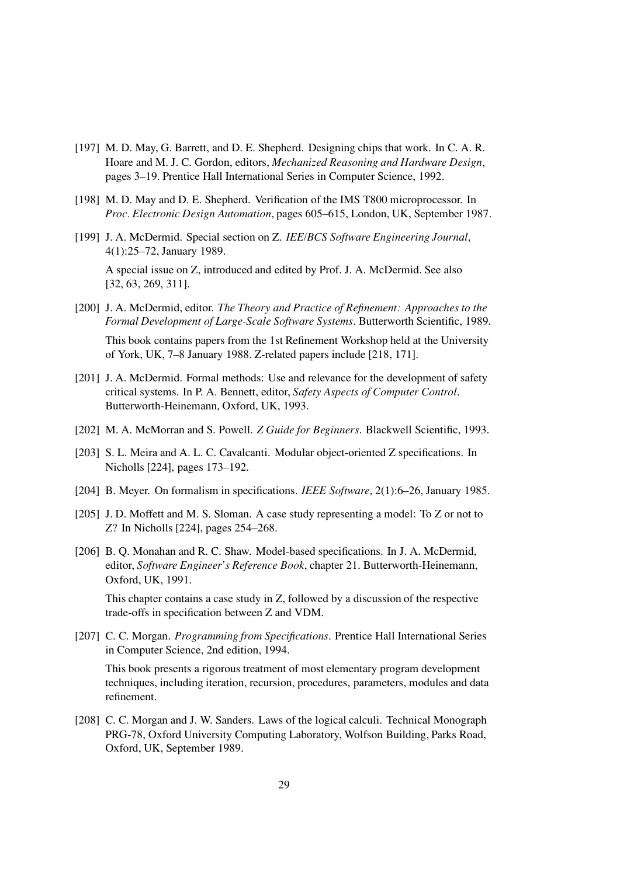- [197] M. D. May, G. Barrett, and D. E. Shepherd. Designing chips that work. In C. A. R. Hoare and M. J. C. Gordon, editors, Mechanized Reasoning and Hardware Design, pages 3–19. Prentice Hall International Series in Computer Science, 1992.
- [198] M. D. May and D. E. Shepherd. Verification of the IMS T800 microprocessor. In Proc. Electronic Design Automation, pages 605–615, London, UK, September 1987.
- [199] J. A. McDermid. Special section on Z. IEE/BCS Software Engineering Journal, 4(1):25–72, January 1989.

A special issue on Z, introduced and edited by Prof. J. A. McDermid. See also [32, 63, 269, 311].

- [200] J. A. McDermid, editor. The Theory and Practice of Refinement: Approaches to the Formal Development of Large-Scale Software Systems. Butterworth Scientific, 1989. This book contains papers from the 1st Refinement Workshop held at the University of York, UK, 7–8 January 1988. Z-related papers include [218, 171].
- [201] J. A. McDermid. Formal methods: Use and relevance for the development of safety critical systems. In P. A. Bennett, editor, Safety Aspects of Computer Control. Butterworth-Heinemann, Oxford, UK, 1993.
- [202] M. A. McMorran and S. Powell. Z Guide for Beginners. Blackwell Scientific, 1993.
- [203] S. L. Meira and A. L. C. Cavalcanti. Modular object-oriented Z specifications. In Nicholls [224], pages 173–192.
- [204] B. Meyer. On formalism in specifications. IEEE Software, 2(1):6–26, January 1985.
- [205] J. D. Moffett and M. S. Sloman. A case study representing a model: To Z or not to Z? In Nicholls [224], pages 254–268.
- [206] B. Q. Monahan and R. C. Shaw. Model-based specifications. In J. A. McDermid, editor, Software Engineer's Reference Book, chapter 21. Butterworth-Heinemann, Oxford, UK, 1991.

This chapter contains a case study in Z, followed by a discussion of the respective trade-offs in specification between Z and VDM.

[207] C. C. Morgan. *Programming from Specifications*. Prentice Hall International Series in Computer Science, 2nd edition, 1994.

This book presents a rigorous treatment of most elementary program development techniques, including iteration, recursion, procedures, parameters, modules and data refinement.

[208] C. C. Morgan and J. W. Sanders. Laws of the logical calculi. Technical Monograph PRG-78, Oxford University Computing Laboratory, Wolfson Building, Parks Road, Oxford, UK, September 1989.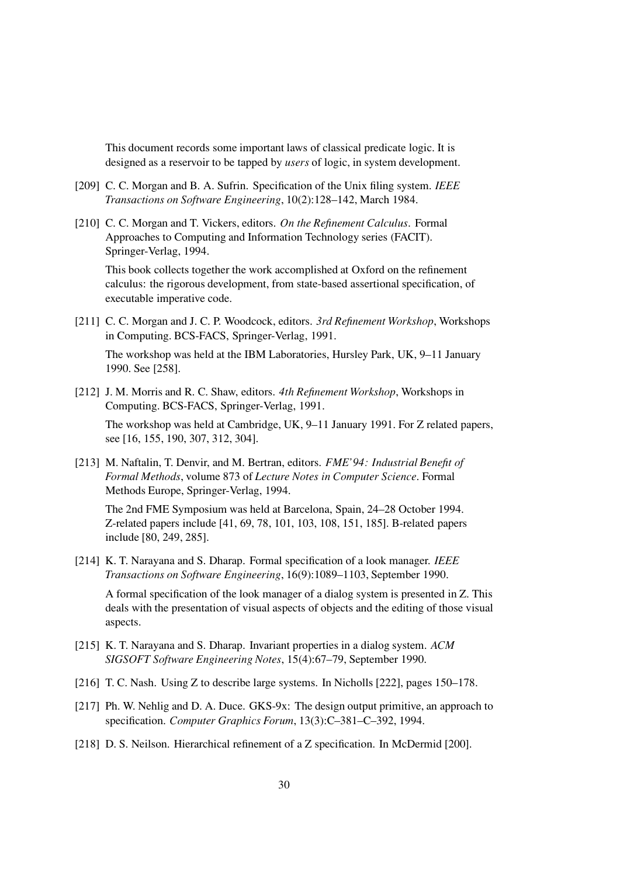This document records some important laws of classical predicate logic. It is designed as a reservoir to be tapped by users of logic, in system development.

- [209] C. C. Morgan and B. A. Sufrin. Specification of the Unix filing system. IEEE Transactions on Software Engineering, 10(2):128–142, March 1984.
- [210] C. C. Morgan and T. Vickers, editors. On the Refinement Calculus. Formal Approaches to Computing and Information Technology series (FACIT). Springer-Verlag, 1994.

This book collects together the work accomplished at Oxford on the refinement calculus: the rigorous development, from state-based assertional specification, of executable imperative code.

[211] C. C. Morgan and J. C. P. Woodcock, editors. 3rd Refinement Workshop, Workshops in Computing. BCS-FACS, Springer-Verlag, 1991.

The workshop was held at the IBM Laboratories, Hursley Park, UK, 9–11 January 1990. See [258].

[212] J. M. Morris and R. C. Shaw, editors. 4th Refinement Workshop, Workshops in Computing. BCS-FACS, Springer-Verlag, 1991.

The workshop was held at Cambridge, UK, 9–11 January 1991. For Z related papers, see [16, 155, 190, 307, 312, 304].

[213] M. Naftalin, T. Denvir, and M. Bertran, editors. FME'94: Industrial Benefit of Formal Methods, volume 873 of Lecture Notes in Computer Science. Formal Methods Europe, Springer-Verlag, 1994.

The 2nd FME Symposium was held at Barcelona, Spain, 24–28 October 1994. Z-related papers include [41, 69, 78, 101, 103, 108, 151, 185]. B-related papers include [80, 249, 285].

[214] K. T. Narayana and S. Dharap. Formal specification of a look manager. IEEE Transactions on Software Engineering, 16(9):1089–1103, September 1990.

A formal specification of the look manager of a dialog system is presented in Z. This deals with the presentation of visual aspects of objects and the editing of those visual aspects.

- [215] K. T. Narayana and S. Dharap. Invariant properties in a dialog system. ACM SIGSOFT Software Engineering Notes, 15(4):67–79, September 1990.
- [216] T. C. Nash. Using Z to describe large systems. In Nicholls [222], pages 150–178.
- [217] Ph. W. Nehlig and D. A. Duce. GKS-9x: The design output primitive, an approach to specification. Computer Graphics Forum, 13(3):C–381–C–392, 1994.
- [218] D. S. Neilson. Hierarchical refinement of a Z specification. In McDermid [200].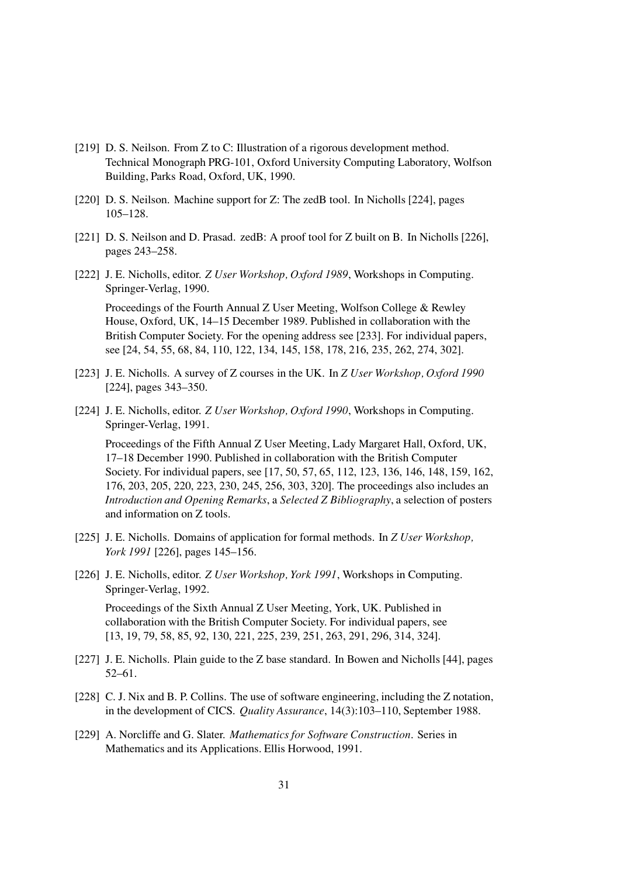- [219] D. S. Neilson. From Z to C: Illustration of a rigorous development method. Technical Monograph PRG-101, Oxford University Computing Laboratory, Wolfson Building, Parks Road, Oxford, UK, 1990.
- [220] D. S. Neilson. Machine support for Z: The zedB tool. In Nicholls [224], pages 105–128.
- [221] D. S. Neilson and D. Prasad. zedB: A proof tool for Z built on B. In Nicholls [226], pages 243–258.
- [222] J. E. Nicholls, editor. Z User Workshop, Oxford 1989, Workshops in Computing. Springer-Verlag, 1990.

Proceedings of the Fourth Annual Z User Meeting, Wolfson College & Rewley House, Oxford, UK, 14–15 December 1989. Published in collaboration with the British Computer Society. For the opening address see [233]. For individual papers, see [24, 54, 55, 68, 84, 110, 122, 134, 145, 158, 178, 216, 235, 262, 274, 302].

- [223] J. E. Nicholls. A survey of Z courses in the UK. In Z User Workshop, Oxford 1990 [224], pages 343–350.
- [224] J. E. Nicholls, editor. Z User Workshop, Oxford 1990, Workshops in Computing. Springer-Verlag, 1991.

Proceedings of the Fifth Annual Z User Meeting, Lady Margaret Hall, Oxford, UK, 17–18 December 1990. Published in collaboration with the British Computer Society. For individual papers, see [17, 50, 57, 65, 112, 123, 136, 146, 148, 159, 162, 176, 203, 205, 220, 223, 230, 245, 256, 303, 320]. The proceedings also includes an Introduction and Opening Remarks, a Selected Z Bibliography, a selection of posters and information on Z tools.

- [225] J. E. Nicholls. Domains of application for formal methods. In Z User Workshop, York 1991 [226], pages 145–156.
- [226] J. E. Nicholls, editor. Z User Workshop, York 1991, Workshops in Computing. Springer-Verlag, 1992.

Proceedings of the Sixth Annual Z User Meeting, York, UK. Published in collaboration with the British Computer Society. For individual papers, see [13, 19, 79, 58, 85, 92, 130, 221, 225, 239, 251, 263, 291, 296, 314, 324].

- [227] J. E. Nicholls. Plain guide to the Z base standard. In Bowen and Nicholls [44], pages 52–61.
- [228] C. J. Nix and B. P. Collins. The use of software engineering, including the Z notation, in the development of CICS. Quality Assurance, 14(3):103–110, September 1988.
- [229] A. Norcliffe and G. Slater. *Mathematics for Software Construction*. Series in Mathematics and its Applications. Ellis Horwood, 1991.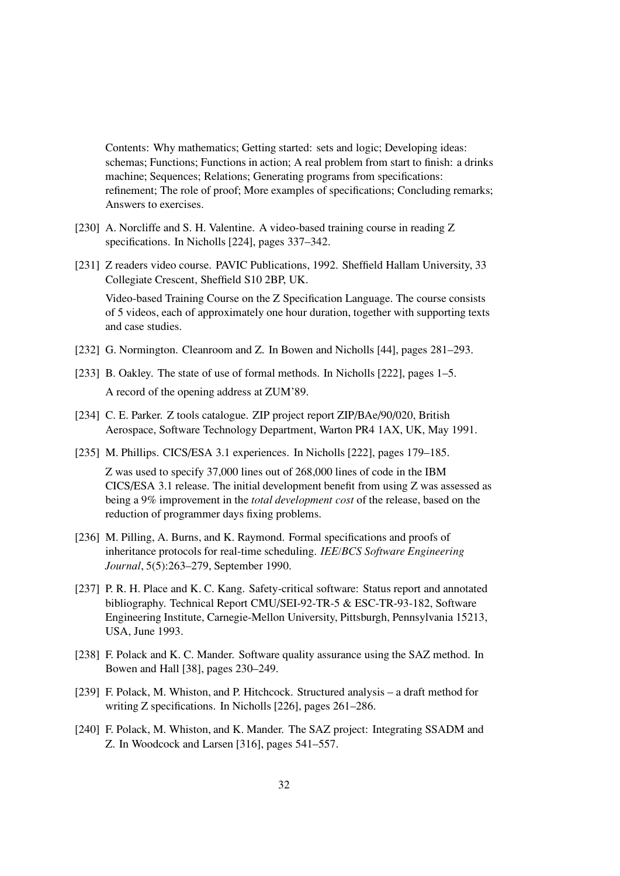Contents: Why mathematics; Getting started: sets and logic; Developing ideas: schemas; Functions; Functions in action; A real problem from start to finish: a drinks machine; Sequences; Relations; Generating programs from specifications: refinement; The role of proof; More examples of specifications; Concluding remarks; Answers to exercises.

- [230] A. Norcliffe and S. H. Valentine. A video-based training course in reading Z specifications. In Nicholls [224], pages 337–342.
- [231] Z readers video course. PAVIC Publications, 1992. Sheffield Hallam University, 33 Collegiate Crescent, Sheffield S10 2BP, UK.

Video-based Training Course on the Z Specification Language. The course consists of 5 videos, each of approximately one hour duration, together with supporting texts and case studies.

- [232] G. Normington. Cleanroom and Z. In Bowen and Nicholls [44], pages  $281-293$ .
- [233] B. Oakley. The state of use of formal methods. In Nicholls [222], pages 1–5. A record of the opening address at ZUM'89.
- [234] C. E. Parker. Z tools catalogue. ZIP project report ZIP/BAe/90/020, British Aerospace, Software Technology Department, Warton PR4 1AX, UK, May 1991.
- [235] M. Phillips. CICS/ESA 3.1 experiences. In Nicholls [222], pages 179–185.

Z was used to specify 37,000 lines out of 268,000 lines of code in the IBM CICS/ESA 3.1 release. The initial development benefit from using Z was assessed as being a 9% improvement in the total development cost of the release, based on the reduction of programmer days fixing problems.

- [236] M. Pilling, A. Burns, and K. Raymond. Formal specifications and proofs of inheritance protocols for real-time scheduling. IEE/BCS Software Engineering Journal, 5(5):263–279, September 1990.
- [237] P. R. H. Place and K. C. Kang. Safety-critical software: Status report and annotated bibliography. Technical Report CMU/SEI-92-TR-5 & ESC-TR-93-182, Software Engineering Institute, Carnegie-Mellon University, Pittsburgh, Pennsylvania 15213, USA, June 1993.
- [238] F. Polack and K. C. Mander. Software quality assurance using the SAZ method. In Bowen and Hall [38], pages 230–249.
- [239] F. Polack, M. Whiston, and P. Hitchcock. Structured analysis a draft method for writing Z specifications. In Nicholls [226], pages 261–286.
- [240] F. Polack, M. Whiston, and K. Mander. The SAZ project: Integrating SSADM and Z. In Woodcock and Larsen [316], pages 541–557.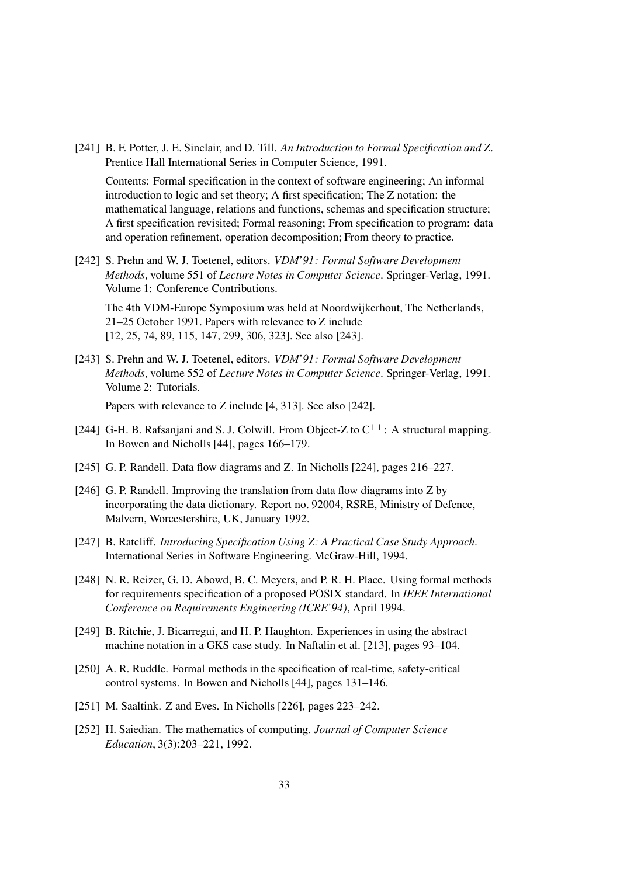[241] B. F. Potter, J. E. Sinclair, and D. Till. An Introduction to Formal Specification and Z. Prentice Hall International Series in Computer Science, 1991.

Contents: Formal specification in the context of software engineering; An informal introduction to logic and set theory; A first specification; The Z notation: the mathematical language, relations and functions, schemas and specification structure; A first specification revisited; Formal reasoning; From specification to program: data and operation refinement, operation decomposition; From theory to practice.

[242] S. Prehn and W. J. Toetenel, editors. VDM'91: Formal Software Development Methods, volume 551 of Lecture Notes in Computer Science. Springer-Verlag, 1991. Volume 1: Conference Contributions.

The 4th VDM-Europe Symposium was held at Noordwijkerhout, The Netherlands, 21–25 October 1991. Papers with relevance to Z include [12, 25, 74, 89, 115, 147, 299, 306, 323]. See also [243].

[243] S. Prehn and W. J. Toetenel, editors. *VDM'91: Formal Software Development* Methods, volume 552 of Lecture Notes in Computer Science. Springer-Verlag, 1991. Volume 2: Tutorials.

Papers with relevance to Z include [4, 313]. See also [242].

- [244] G-H. B. Rafsanjani and S. J. Colwill. From Object-Z to C<sup>++</sup>: A structural mapping. In Bowen and Nicholls [44], pages 166–179.
- [245] G. P. Randell. Data flow diagrams and Z. In Nicholls [224], pages 216–227.
- [246] G. P. Randell. Improving the translation from data flow diagrams into Z by incorporating the data dictionary. Report no. 92004, RSRE, Ministry of Defence, Malvern, Worcestershire, UK, January 1992.
- [247] B. Ratcliff. *Introducing Specification Using Z: A Practical Case Study Approach.* International Series in Software Engineering. McGraw-Hill, 1994.
- [248] N. R. Reizer, G. D. Abowd, B. C. Meyers, and P. R. H. Place. Using formal methods for requirements specification of a proposed POSIX standard. In IEEE International Conference on Requirements Engineering (ICRE'94), April 1994.
- [249] B. Ritchie, J. Bicarregui, and H. P. Haughton. Experiences in using the abstract machine notation in a GKS case study. In Naftalin et al. [213], pages 93–104.
- [250] A. R. Ruddle. Formal methods in the specification of real-time, safety-critical control systems. In Bowen and Nicholls [44], pages 131–146.
- [251] M. Saaltink. Z and Eves. In Nicholls [226], pages 223-242.
- [252] H. Saiedian. The mathematics of computing. Journal of Computer Science Education, 3(3):203–221, 1992.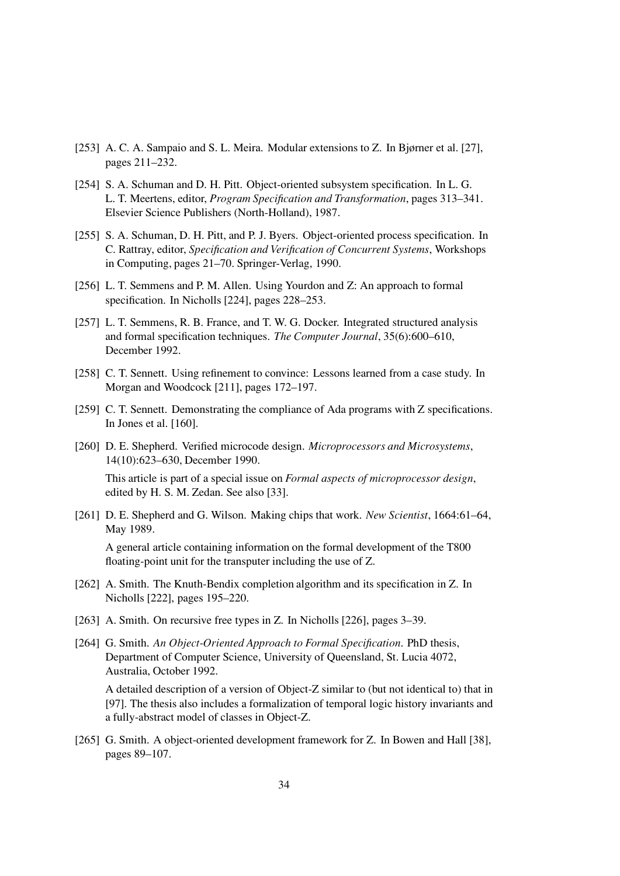- [253] A. C. A. Sampaio and S. L. Meira. Modular extensions to Z. In Bjørner et al. [27], pages 211–232.
- [254] S. A. Schuman and D. H. Pitt. Object-oriented subsystem specification. In L. G. L. T. Meertens, editor, Program Specification and Transformation, pages 313–341. Elsevier Science Publishers (North-Holland), 1987.
- [255] S. A. Schuman, D. H. Pitt, and P. J. Byers. Object-oriented process specification. In C. Rattray, editor, Specification and Verification of Concurrent Systems, Workshops in Computing, pages 21–70. Springer-Verlag, 1990.
- [256] L. T. Semmens and P. M. Allen. Using Yourdon and Z: An approach to formal specification. In Nicholls [224], pages 228–253.
- [257] L. T. Semmens, R. B. France, and T. W. G. Docker. Integrated structured analysis and formal specification techniques. The Computer Journal, 35(6):600–610, December 1992.
- [258] C. T. Sennett. Using refinement to convince: Lessons learned from a case study. In Morgan and Woodcock [211], pages 172–197.
- [259] C. T. Sennett. Demonstrating the compliance of Ada programs with Z specifications. In Jones et al. [160].
- [260] D. E. Shepherd. Verified microcode design. Microprocessors and Microsystems, 14(10):623–630, December 1990.

This article is part of a special issue on Formal aspects of microprocessor design, edited by H. S. M. Zedan. See also [33].

[261] D. E. Shepherd and G. Wilson. Making chips that work. New Scientist, 1664:61–64, May 1989.

A general article containing information on the formal development of the T800 floating-point unit for the transputer including the use of Z.

- [262] A. Smith. The Knuth-Bendix completion algorithm and its specification in Z. In Nicholls [222], pages 195–220.
- [263] A. Smith. On recursive free types in Z. In Nicholls [226], pages 3–39.
- [264] G. Smith. An Object-Oriented Approach to Formal Specification. PhD thesis, Department of Computer Science, University of Queensland, St. Lucia 4072, Australia, October 1992.

A detailed description of a version of Object-Z similar to (but not identical to) that in [97]. The thesis also includes a formalization of temporal logic history invariants and a fully-abstract model of classes in Object-Z.

[265] G. Smith. A object-oriented development framework for Z. In Bowen and Hall [38], pages 89–107.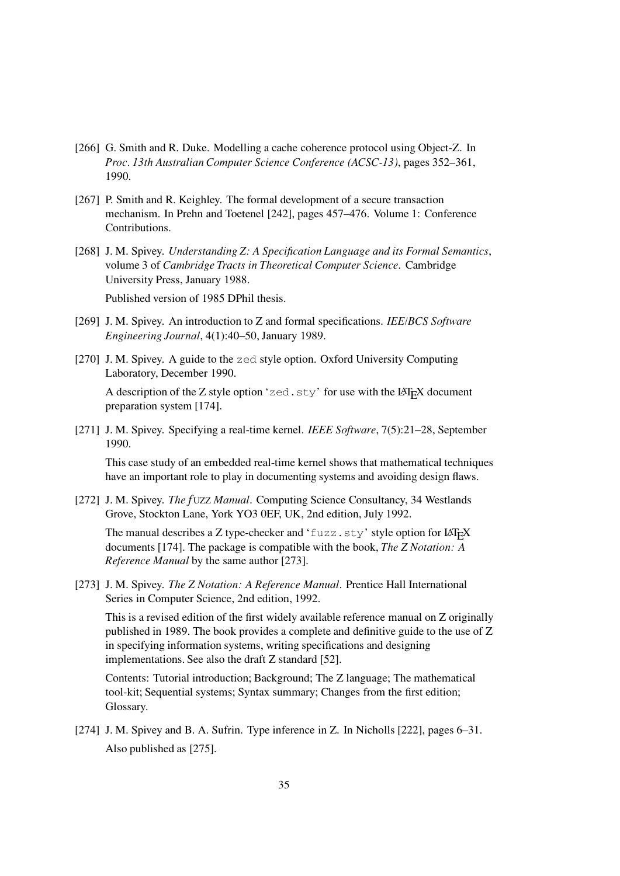- [266] G. Smith and R. Duke. Modelling a cache coherence protocol using Object-Z. In Proc. 13th Australian Computer Science Conference (ACSC-13), pages 352–361, 1990.
- [267] P. Smith and R. Keighley. The formal development of a secure transaction mechanism. In Prehn and Toetenel [242], pages 457–476. Volume 1: Conference Contributions.
- [268] J. M. Spivey. Understanding Z: A Specification Language and its Formal Semantics, volume 3 of Cambridge Tracts in Theoretical Computer Science. Cambridge University Press, January 1988.

Published version of 1985 DPhil thesis.

- [269] J. M. Spivey. An introduction to Z and formal specifications. IEE/BCS Software Engineering Journal, 4(1):40–50, January 1989.
- [270] J. M. Spivey. A guide to the zed style option. Oxford University Computing Laboratory, December 1990.

A description of the Z style option 'zed.sty' for use with the LAT<sub>E</sub>X document preparation system [174].

[271] J. M. Spivey. Specifying a real-time kernel. IEEE Software, 7(5):21-28, September 1990.

This case study of an embedded real-time kernel shows that mathematical techniques have an important role to play in documenting systems and avoiding design flaws.

[272] J. M. Spivey. The fUZZ Manual. Computing Science Consultancy, 34 Westlands Grove, Stockton Lane, York YO3 0EF, UK, 2nd edition, July 1992.

The manual describes a Z type-checker and 'fuzz.sty' style option for LATEX documents [174]. The package is compatible with the book, The Z Notation: A Reference Manual by the same author [273].

[273] J. M. Spivey. The Z Notation: A Reference Manual. Prentice Hall International Series in Computer Science, 2nd edition, 1992.

This is a revised edition of the first widely available reference manual on Z originally published in 1989. The book provides a complete and definitive guide to the use of Z in specifying information systems, writing specifications and designing implementations. See also the draft Z standard [52].

Contents: Tutorial introduction; Background; The Z language; The mathematical tool-kit; Sequential systems; Syntax summary; Changes from the first edition; Glossary.

[274] J. M. Spivey and B. A. Sufrin. Type inference in Z. In Nicholls [222], pages 6–31. Also published as [275].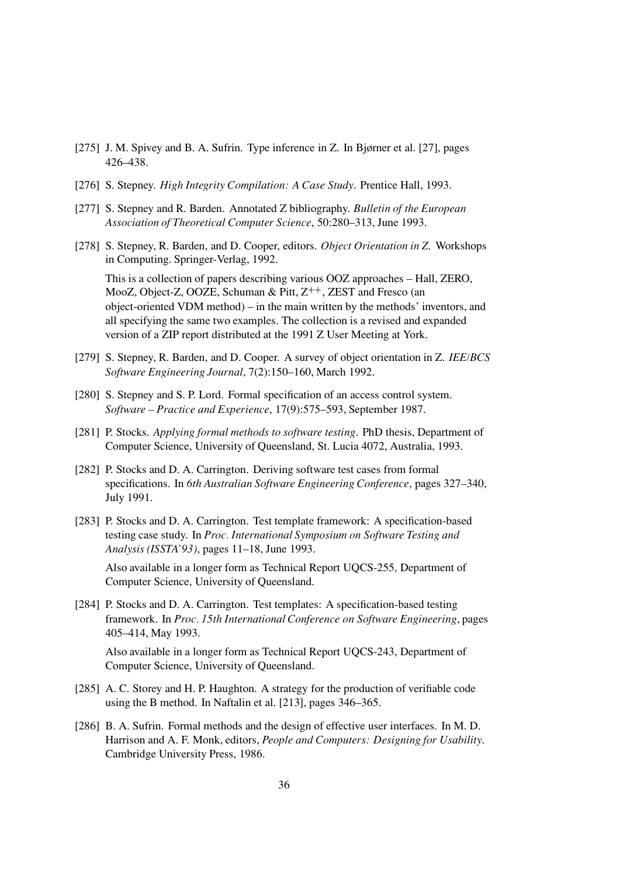- [275] J. M. Spivey and B. A. Sufrin. Type inference in Z. In Bjørner et al. [27], pages 426–438.
- [276] S. Stepney. High Integrity Compilation: A Case Study. Prentice Hall, 1993.
- [277] S. Stepney and R. Barden. Annotated Z bibliography. Bulletin of the European Association of Theoretical Computer Science, 50:280–313, June 1993.
- [278] S. Stepney, R. Barden, and D. Cooper, editors. Object Orientation in Z. Workshops in Computing. Springer-Verlag, 1992.

This is a collection of papers describing various OOZ approaches – Hall, ZERO, MooZ, Object-Z, OOZE, Schuman & Pitt,  $Z^{++}$ , ZEST and Fresco (an object-oriented VDM method) – in the main written by the methods' inventors, and all specifying the same two examples. The collection is a revised and expanded version of a ZIP report distributed at the 1991 Z User Meeting at York.

- [279] S. Stepney, R. Barden, and D. Cooper. A survey of object orientation in Z. IEE/BCS Software Engineering Journal, 7(2):150–160, March 1992.
- [280] S. Stepney and S. P. Lord. Formal specification of an access control system. Software – Practice and Experience, 17(9):575–593, September 1987.
- [281] P. Stocks. Applying formal methods to software testing. PhD thesis, Department of Computer Science, University of Queensland, St. Lucia 4072, Australia, 1993.
- [282] P. Stocks and D. A. Carrington. Deriving software test cases from formal specifications. In 6th Australian Software Engineering Conference, pages 327–340, July 1991.
- [283] P. Stocks and D. A. Carrington. Test template framework: A specification-based testing case study. In Proc. International Symposium on Software Testing and Analysis (ISSTA'93), pages 11–18, June 1993.

Also available in a longer form as Technical Report UQCS-255, Department of Computer Science, University of Queensland.

[284] P. Stocks and D. A. Carrington. Test templates: A specification-based testing framework. In Proc. 15th International Conference on Software Engineering, pages 405–414, May 1993.

Also available in a longer form as Technical Report UQCS-243, Department of Computer Science, University of Queensland.

- [285] A. C. Storey and H. P. Haughton. A strategy for the production of verifiable code using the B method. In Naftalin et al. [213], pages 346–365.
- [286] B. A. Sufrin. Formal methods and the design of effective user interfaces. In M. D. Harrison and A. F. Monk, editors, People and Computers: Designing for Usability. Cambridge University Press, 1986.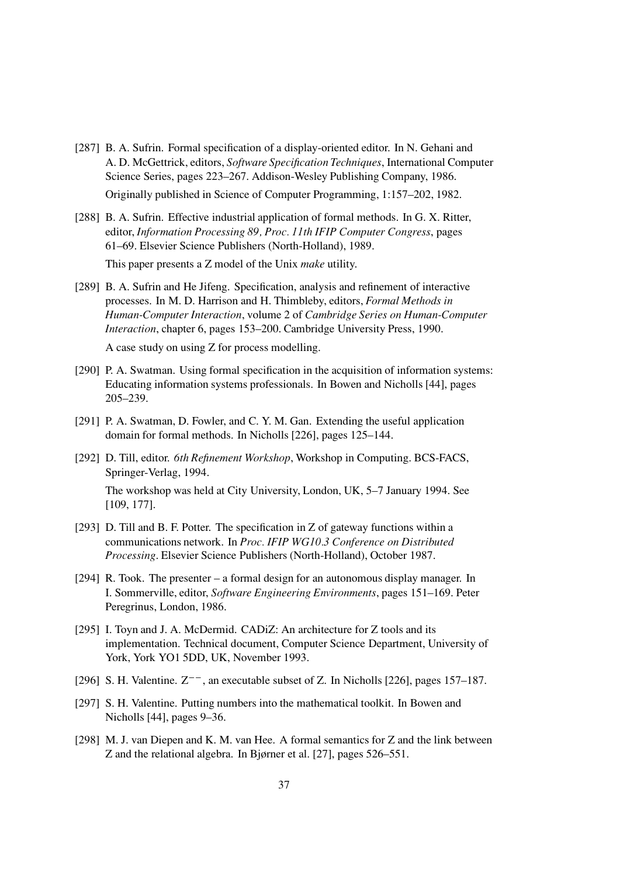- [287] B. A. Sufrin. Formal specification of a display-oriented editor. In N. Gehani and A. D. McGettrick, editors, Software Specification Techniques, International Computer Science Series, pages 223–267. Addison-Wesley Publishing Company, 1986. Originally published in Science of Computer Programming, 1:157–202, 1982.
- [288] B. A. Sufrin. Effective industrial application of formal methods. In G. X. Ritter, editor, Information Processing 89, Proc. 11th IFIP Computer Congress, pages 61–69. Elsevier Science Publishers (North-Holland), 1989.

This paper presents a Z model of the Unix make utility.

[289] B. A. Sufrin and He Jifeng. Specification, analysis and refinement of interactive processes. In M. D. Harrison and H. Thimbleby, editors, Formal Methods in Human-Computer Interaction, volume 2 of Cambridge Series on Human-Computer Interaction, chapter 6, pages 153–200. Cambridge University Press, 1990.

A case study on using Z for process modelling.

- [290] P. A. Swatman. Using formal specification in the acquisition of information systems: Educating information systems professionals. In Bowen and Nicholls [44], pages 205–239.
- [291] P. A. Swatman, D. Fowler, and C. Y. M. Gan. Extending the useful application domain for formal methods. In Nicholls [226], pages 125–144.
- [292] D. Till, editor. 6th Refinement Workshop, Workshop in Computing. BCS-FACS, Springer-Verlag, 1994.

The workshop was held at City University, London, UK, 5–7 January 1994. See [109, 177].

- [293] D. Till and B. F. Potter. The specification in Z of gateway functions within a communications network. In Proc. IFIP WG10.3 Conference on Distributed Processing. Elsevier Science Publishers (North-Holland), October 1987.
- [294] R. Took. The presenter a formal design for an autonomous display manager. In I. Sommerville, editor, Software Engineering Environments, pages 151–169. Peter Peregrinus, London, 1986.
- [295] I. Toyn and J. A. McDermid. CADiZ: An architecture for Z tools and its implementation. Technical document, Computer Science Department, University of York, York YO1 5DD, UK, November 1993.
- [296] S. H. Valentine.  $Z^{-}$ , an executable subset of Z. In Nicholls [226], pages 157–187.
- [297] S. H. Valentine. Putting numbers into the mathematical toolkit. In Bowen and Nicholls [44], pages 9–36.
- [298] M. J. van Diepen and K. M. van Hee. A formal semantics for Z and the link between Z and the relational algebra. In Bjørner et al. [27], pages 526–551.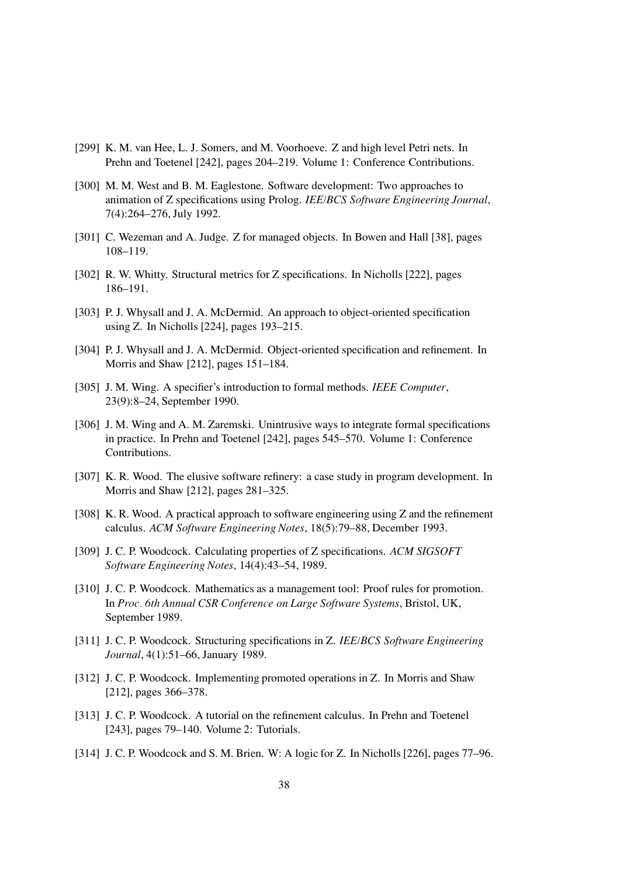- [299] K. M. van Hee, L. J. Somers, and M. Voorhoeve. Z and high level Petri nets. In Prehn and Toetenel [242], pages 204–219. Volume 1: Conference Contributions.
- [300] M. M. West and B. M. Eaglestone. Software development: Two approaches to animation of Z specifications using Prolog. IEE/BCS Software Engineering Journal, 7(4):264–276, July 1992.
- [301] C. Wezeman and A. Judge. Z for managed objects. In Bowen and Hall [38], pages 108–119.
- [302] R. W. Whitty. Structural metrics for Z specifications. In Nicholls [222], pages 186–191.
- [303] P. J. Whysall and J. A. McDermid. An approach to object-oriented specification using Z. In Nicholls [224], pages 193–215.
- [304] P. J. Whysall and J. A. McDermid. Object-oriented specification and refinement. In Morris and Shaw [212], pages 151–184.
- [305] J. M. Wing. A specifier's introduction to formal methods. IEEE Computer, 23(9):8–24, September 1990.
- [306] J. M. Wing and A. M. Zaremski. Unintrusive ways to integrate formal specifications in practice. In Prehn and Toetenel [242], pages 545–570. Volume 1: Conference Contributions.
- [307] K. R. Wood. The elusive software refinery: a case study in program development. In Morris and Shaw [212], pages 281–325.
- [308] K. R. Wood. A practical approach to software engineering using Z and the refinement calculus. ACM Software Engineering Notes, 18(5):79–88, December 1993.
- [309] J. C. P. Woodcock. Calculating properties of Z specifications. ACM SIGSOFT Software Engineering Notes, 14(4):43–54, 1989.
- [310] J. C. P. Woodcock. Mathematics as a management tool: Proof rules for promotion. In Proc. 6th Annual CSR Conference on Large Software Systems, Bristol, UK, September 1989.
- [311] J. C. P. Woodcock. Structuring specifications in Z. IEE/BCS Software Engineering Journal, 4(1):51–66, January 1989.
- [312] J. C. P. Woodcock. Implementing promoted operations in Z. In Morris and Shaw [212], pages 366–378.
- [313] J. C. P. Woodcock. A tutorial on the refinement calculus. In Prehn and Toetenel [243], pages 79–140. Volume 2: Tutorials.
- [314] J. C. P. Woodcock and S. M. Brien. W: A logic for Z. In Nicholls [226], pages 77–96.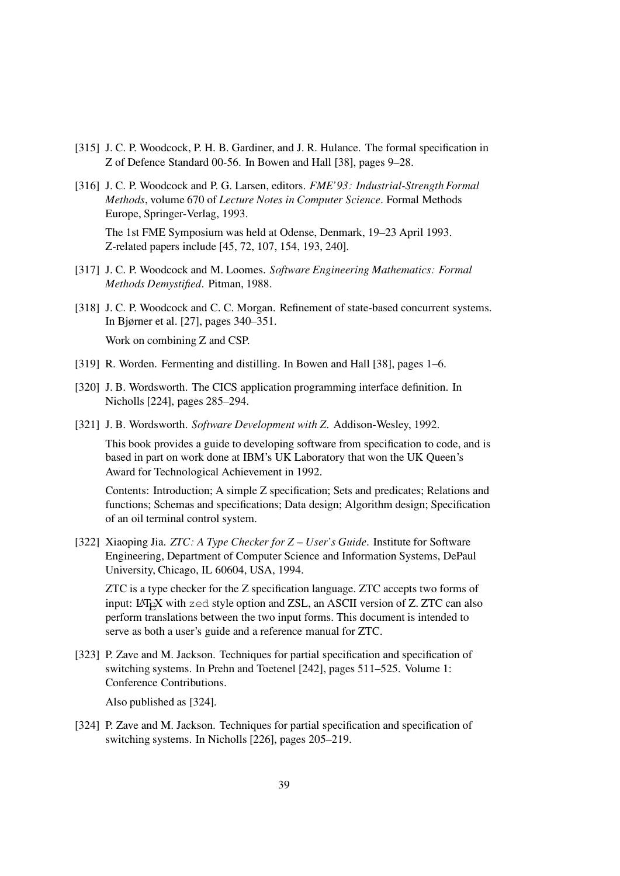- [315] J. C. P. Woodcock, P. H. B. Gardiner, and J. R. Hulance. The formal specification in Z of Defence Standard 00-56. In Bowen and Hall [38], pages 9–28.
- [316] J. C. P. Woodcock and P. G. Larsen, editors. FME'93: Industrial-Strength Formal Methods, volume 670 of Lecture Notes in Computer Science. Formal Methods Europe, Springer-Verlag, 1993.

The 1st FME Symposium was held at Odense, Denmark, 19–23 April 1993. Z-related papers include [45, 72, 107, 154, 193, 240].

- [317] J. C. P. Woodcock and M. Loomes. Software Engineering Mathematics: Formal Methods Demystified. Pitman, 1988.
- [318] J. C. P. Woodcock and C. C. Morgan. Refinement of state-based concurrent systems. In Bjørner et al. [27], pages 340–351. Work on combining Z and CSP.
- [319] R. Worden. Fermenting and distilling. In Bowen and Hall [38], pages 1–6.
- [320] J. B. Wordsworth. The CICS application programming interface definition. In Nicholls [224], pages 285–294.
- [321] J. B. Wordsworth. Software Development with Z. Addison-Wesley, 1992.

This book provides a guide to developing software from specification to code, and is based in part on work done at IBM's UK Laboratory that won the UK Queen's Award for Technological Achievement in 1992.

Contents: Introduction; A simple Z specification; Sets and predicates; Relations and functions; Schemas and specifications; Data design; Algorithm design; Specification of an oil terminal control system.

[322] Xiaoping Jia. *ZTC: A Type Checker for Z – User's Guide*. Institute for Software Engineering, Department of Computer Science and Information Systems, DePaul University, Chicago, IL 60604, USA, 1994.

ZTC is a type checker for the Z specification language. ZTC accepts two forms of input: <sup>L</sup><sup>A</sup>TEX with zed style option and ZSL, an ASCII version of Z. ZTC can also perform translations between the two input forms. This document is intended to serve as both a user's guide and a reference manual for ZTC.

[323] P. Zave and M. Jackson. Techniques for partial specification and specification of switching systems. In Prehn and Toetenel [242], pages 511–525. Volume 1: Conference Contributions.

Also published as [324].

[324] P. Zave and M. Jackson. Techniques for partial specification and specification of switching systems. In Nicholls [226], pages 205–219.